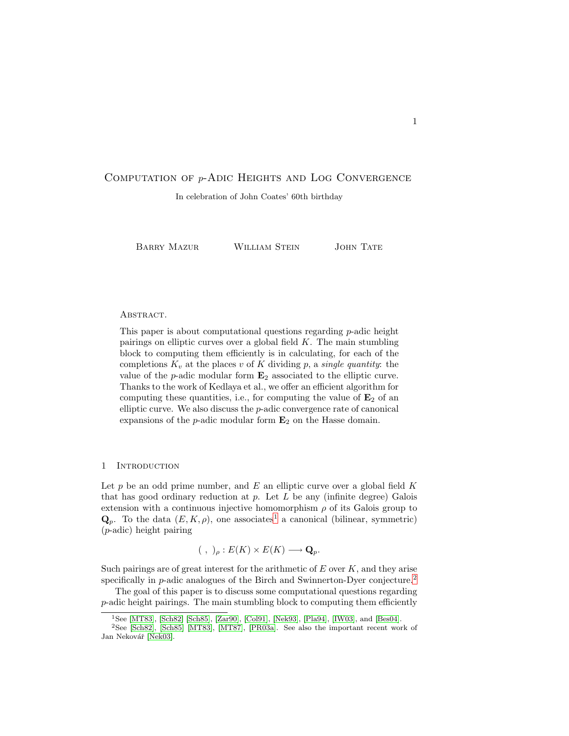# Computation of p-Adic Heights and Log Convergence

In celebration of John Coates' 60th birthday

BARRY MAZUR WILLIAM STEIN JOHN TATE

#### ABSTRACT.

This paper is about computational questions regarding p-adic height pairings on elliptic curves over a global field  $K$ . The main stumbling block to computing them efficiently is in calculating, for each of the completions  $K_v$  at the places v of K dividing p, a single quantity: the value of the  $p$ -adic modular form  $\mathbf{E}_2$  associated to the elliptic curve. Thanks to the work of Kedlaya et al., we offer an efficient algorithm for computing these quantities, i.e., for computing the value of  $\mathbf{E}_2$  of an elliptic curve. We also discuss the p-adic convergence rate of canonical expansions of the  $p$ -adic modular form  $\mathbf{E}_2$  on the Hasse domain.

### <span id="page-0-2"></span>1 INTRODUCTION

Let  $p$  be an odd prime number, and  $E$  an elliptic curve over a global field  $K$ that has good ordinary reduction at  $p$ . Let  $L$  be any (infinite degree) Galois extension with a continuous injective homomorphism  $\rho$  of its Galois group to  $\mathbf{Q}_p$ . To the data  $(E, K, \rho)$ , one associates<sup>[1](#page-0-0)</sup> a canonical (bilinear, symmetric) (p-adic) height pairing

$$
(\ ,\ )_{\rho}:E(K)\times E(K)\longrightarrow \mathbf{Q}_{p}.
$$

Such pairings are of great interest for the arithmetic of  $E$  over  $K$ , and they arise specifically in p-adic analogues of the Birch and Swinnerton-Dyer conjecture.<sup>[2](#page-0-1)</sup>

The goal of this paper is to discuss some computational questions regarding p-adic height pairings. The main stumbling block to computing them efficiently

<sup>1</sup>See [\[MT83\]](#page-34-0), [\[Sch82\]](#page-35-0) [\[Sch85\]](#page-35-1), [\[Zar90\]](#page-35-2), [\[Col91\]](#page-33-0), [\[Nek93\]](#page-34-1), [\[Pla94\]](#page-34-2), [\[IW03\]](#page-33-1), and [\[Bes04\]](#page-32-0).

<span id="page-0-1"></span><span id="page-0-0"></span><sup>2</sup>See [\[Sch82\]](#page-35-0), [\[Sch85\]](#page-35-1) [\[MT83\]](#page-34-0), [\[MT87\]](#page-34-3), [\[PR03a\]](#page-34-4). See also the important recent work of Jan Nekovář [\[Nek03\]](#page-34-5).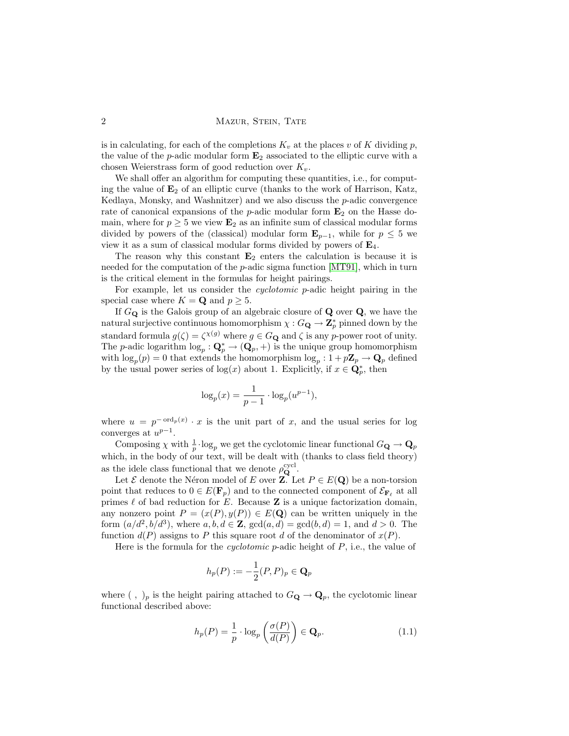2 MAZUR, STEIN, TATE

is in calculating, for each of the completions  $K_v$  at the places v of K dividing p, the value of the p-adic modular form  $\mathbf{E}_2$  associated to the elliptic curve with a chosen Weierstrass form of good reduction over  $K_v$ .

We shall offer an algorithm for computing these quantities, i.e., for computing the value of  $\mathbf{E}_2$  of an elliptic curve (thanks to the work of Harrison, Katz, Kedlaya, Monsky, and Washnitzer) and we also discuss the  $p$ -adic convergence rate of canonical expansions of the *p*-adic modular form  $\mathbf{E}_2$  on the Hasse domain, where for  $p \geq 5$  we view  $\mathbf{E}_2$  as an infinite sum of classical modular forms divided by powers of the (classical) modular form  $\mathbf{E}_{p-1}$ , while for  $p \leq 5$  we view it as a sum of classical modular forms divided by powers of  $\mathbf{E}_4$ .

The reason why this constant  $\mathbf{E}_2$  enters the calculation is because it is needed for the computation of the  $p$ -adic sigma function  $[MT91]$ , which in turn is the critical element in the formulas for height pairings.

For example, let us consider the cyclotomic p-adic height pairing in the special case where  $K = \mathbf{Q}$  and  $p \geq 5$ .

If  $G_{\mathbf{Q}}$  is the Galois group of an algebraic closure of  $\mathbf{Q}$  over  $\mathbf{Q}$ , we have the natural surjective continuous homomorphism  $\chi: G_{\mathbf{Q}} \to \mathbf{Z}_p^*$  pinned down by the standard formula  $g(\zeta) = \zeta^{\chi(g)}$  where  $g \in G_{\mathbf{Q}}$  and  $\zeta$  is any p-power root of unity. The *p*-adic logarithm  $\log_p : \mathbf{Q}_p^* \to (\mathbf{Q}_p, +)$  is the unique group homomorphism with  $\log_p(p) = 0$  that extends the homomorphism  $\log_p: 1 + p\mathbb{Z}_p \to \mathbb{Q}_p$  defined by the usual power series of  $log(x)$  about 1. Explicitly, if  $x \in \mathbb{Q}_p^*$ , then

$$
\log_p(x) = \frac{1}{p-1} \cdot \log_p(u^{p-1}),
$$

where  $u = p^{-\text{ord}_p(x)} \cdot x$  is the unit part of x, and the usual series for log converges at  $u^{p-1}$ .

Composing  $\chi$  with  $\frac{1}{p} \cdot \log_p$  we get the cyclotomic linear functional  $G_{\mathbf{Q}} \to \mathbf{Q}_p$ which, in the body of our text, will be dealt with (thanks to class field theory) as the idele class functional that we denote  $\rho_{\mathbf{Q}}^{\text{cycl}}$ .

Let  $\mathcal E$  denote the Néron model of E over **Z**. Let  $P \in E(\mathbf Q)$  be a non-torsion point that reduces to  $0 \in E(\mathbf{F}_p)$  and to the connected component of  $\mathcal{E}_{\mathbf{F}_{\ell}}$  at all primes  $\ell$  of bad reduction for E. Because **Z** is a unique factorization domain, any nonzero point  $P = (x(P), y(P)) \in E(\mathbf{Q})$  can be written uniquely in the form  $(a/d^2, b/d^3)$ , where  $a, b, d \in \mathbb{Z}$ ,  $gcd(a, d) = gcd(b, d) = 1$ , and  $d > 0$ . The function  $d(P)$  assigns to P this square root d of the denominator of  $x(P)$ .

Here is the formula for the *cyclotomic*  $p$ -adic height of  $P$ , i.e., the value of

$$
h_p(P):=-\frac{1}{2}(P,P)_p\in\mathbf{Q}_p
$$

<span id="page-1-0"></span>where (, )<sub>p</sub> is the height pairing attached to  $G_{\mathbf{Q}} \to \mathbf{Q}_p$ , the cyclotomic linear functional described above:

$$
h_p(P) = \frac{1}{p} \cdot \log_p \left( \frac{\sigma(P)}{d(P)} \right) \in \mathbf{Q}_p.
$$
 (1.1)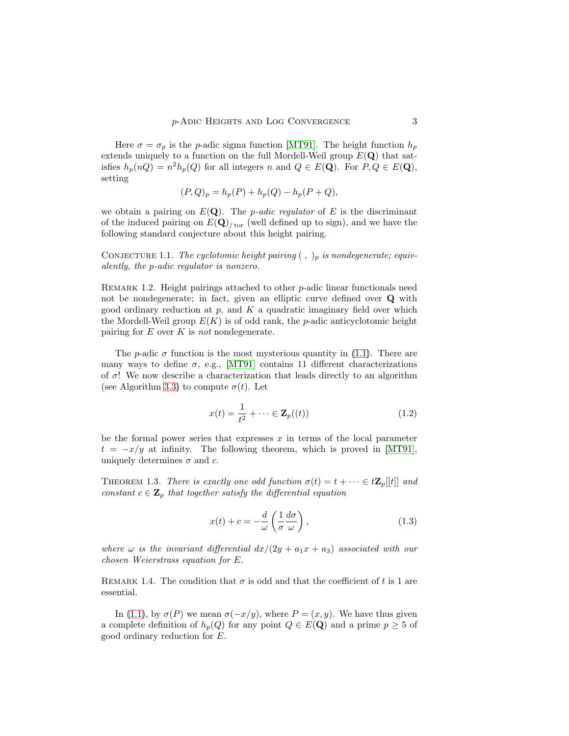Here  $\sigma = \sigma_p$  is the p-adic sigma function [\[MT91\]](#page-34-6). The height function  $h_p$ extends uniquely to a function on the full Mordell-Weil group  $E(Q)$  that satisfies  $h_p(nQ) = n^2 h_p(Q)$  for all integers n and  $Q \in E(\mathbf{Q})$ . For  $P, Q \in E(\mathbf{Q})$ , setting

$$
(P,Q)_p = h_p(P) + h_p(Q) - h_p(P + Q),
$$

we obtain a pairing on  $E(\mathbf{Q})$ . The *p-adic regulator* of E is the discriminant of the induced pairing on  $E(Q)_{\text{tor}}$  (well defined up to sign), and we have the following standard conjecture about this height pairing.

CONJECTURE 1.1. The cyclotomic height pairing  $( , )_p$  is nondegenerate; equivalently, the p-adic regulator is nonzero.

REMARK 1.2. Height pairings attached to other  $p$ -adic linear functionals need not be nondegenerate; in fact, given an elliptic curve defined over Q with good ordinary reduction at  $p$ , and  $K$  a quadratic imaginary field over which the Mordell-Weil group  $E(K)$  is of odd rank, the *p*-adic anticyclotomic height pairing for  $E$  over  $K$  is not nondegenerate.

The *p*-adic  $\sigma$  function is the most mysterious quantity in [\(1.1\)](#page-1-0). There are many ways to define  $\sigma$ , e.g., [\[MT91\]](#page-34-6) contains 11 different characterizations of  $\sigma$ ! We now describe a characterization that leads directly to an algorithm (see Algorithm [3.3\)](#page-13-0) to compute  $\sigma(t)$ . Let

<span id="page-2-1"></span>
$$
x(t) = \frac{1}{t^2} + \dots \in \mathbf{Z}_p((t))
$$
\n
$$
(1.2)
$$

be the formal power series that expresses  $x$  in terms of the local parameter  $t = -x/y$  at infinity. The following theorem, which is proved in [\[MT91\]](#page-34-6), uniquely determines  $\sigma$  and  $c$ .

<span id="page-2-2"></span>THEOREM 1.3. There is exactly one odd function  $\sigma(t) = t + \cdots \in t\mathbb{Z}_p[[t]]$  and constant  $c \in \mathbf{Z}_p$  that together satisfy the differential equation

<span id="page-2-0"></span>
$$
x(t) + c = -\frac{d}{\omega} \left( \frac{1}{\sigma} \frac{d\sigma}{\omega} \right),\tag{1.3}
$$

where  $\omega$  is the invariant differential  $dx/(2y + a_1x + a_3)$  associated with our chosen Weierstrass equation for E.

REMARK 1.4. The condition that  $\sigma$  is odd and that the coefficient of t is 1 are essential.

In [\(1.1\)](#page-1-0), by  $\sigma(P)$  we mean  $\sigma(-x/y)$ , where  $P=(x,y)$ . We have thus given a complete definition of  $h_p(Q)$  for any point  $Q \in E(\mathbf{Q})$  and a prime  $p \geq 5$  of good ordinary reduction for E.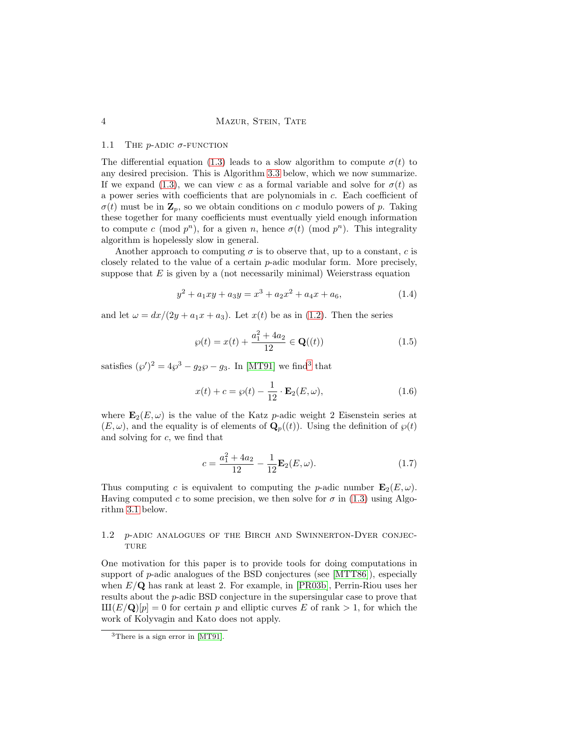#### 1.1 THE *p*-ADIC  $\sigma$ -FUNCTION

The differential equation [\(1.3\)](#page-2-0) leads to a slow algorithm to compute  $\sigma(t)$  to any desired precision. This is Algorithm [3.3](#page-13-0) below, which we now summarize. If we expand [\(1.3\)](#page-2-0), we can view c as a formal variable and solve for  $\sigma(t)$  as a power series with coefficients that are polynomials in c. Each coefficient of  $\sigma(t)$  must be in  $\mathbf{Z}_p$ , so we obtain conditions on c modulo powers of p. Taking these together for many coefficients must eventually yield enough information to compute c (mod  $p^n$ ), for a given n, hence  $\sigma(t)$  (mod  $p^n$ ). This integrality algorithm is hopelessly slow in general.

Another approach to computing  $\sigma$  is to observe that, up to a constant, c is closely related to the value of a certain p-adic modular form. More precisely, suppose that  $E$  is given by a (not necessarily minimal) Weierstrass equation

$$
y^{2} + a_{1}xy + a_{3}y = x^{3} + a_{2}x^{2} + a_{4}x + a_{6}, \qquad (1.4)
$$

and let  $\omega = dx/(2y + a_1x + a_3)$ . Let  $x(t)$  be as in [\(1.2\)](#page-2-1). Then the series

<span id="page-3-3"></span><span id="page-3-1"></span>
$$
\wp(t) = x(t) + \frac{a_1^2 + 4a_2}{12} \in \mathbf{Q}((t))
$$
\n(1.5)

satisfies  $(\wp')^2 = 4\wp^3 - g_2\wp - g_3$  $(\wp')^2 = 4\wp^3 - g_2\wp - g_3$  $(\wp')^2 = 4\wp^3 - g_2\wp - g_3$ . In [\[MT91\]](#page-34-6) we find<sup>3</sup> that

<span id="page-3-2"></span>
$$
x(t) + c = \wp(t) - \frac{1}{12} \cdot \mathbf{E}_2(E, \omega), \tag{1.6}
$$

where  $\mathbf{E}_2(E,\omega)$  is the value of the Katz p-adic weight 2 Eisenstein series at  $(E,\omega)$ , and the equality is of elements of  $\mathbf{Q}_p((t))$ . Using the definition of  $\wp(t)$ and solving for c, we find that

<span id="page-3-4"></span>
$$
c = \frac{a_1^2 + 4a_2}{12} - \frac{1}{12} \mathbf{E}_2(E, \omega).
$$
 (1.7)

Thus computing c is equivalent to computing the p-adic number  $\mathbf{E}_2(E,\omega)$ . Having computed c to some precision, we then solve for  $\sigma$  in [\(1.3\)](#page-2-0) using Algorithm [3.1](#page-11-0) below.

# 1.2 p-ADIC ANALOGUES OF THE BIRCH AND SWINNERTON-DYER CONJEC-**TURE**

One motivation for this paper is to provide tools for doing computations in support of  $p$ -adic analogues of the BSD conjectures (see [\[MTT86\]](#page-34-7)), especially when  $E/\mathbf{Q}$  has rank at least 2. For example, in [\[PR03b\]](#page-34-8), Perrin-Riou uses her results about the p-adic BSD conjecture in the supersingular case to prove that  $\text{III}(E/\mathbf{Q})[p] = 0$  for certain p and elliptic curves E of rank  $> 1$ , for which the work of Kolyvagin and Kato does not apply.

<span id="page-3-0"></span><sup>3</sup>There is a sign error in [\[MT91\]](#page-34-6).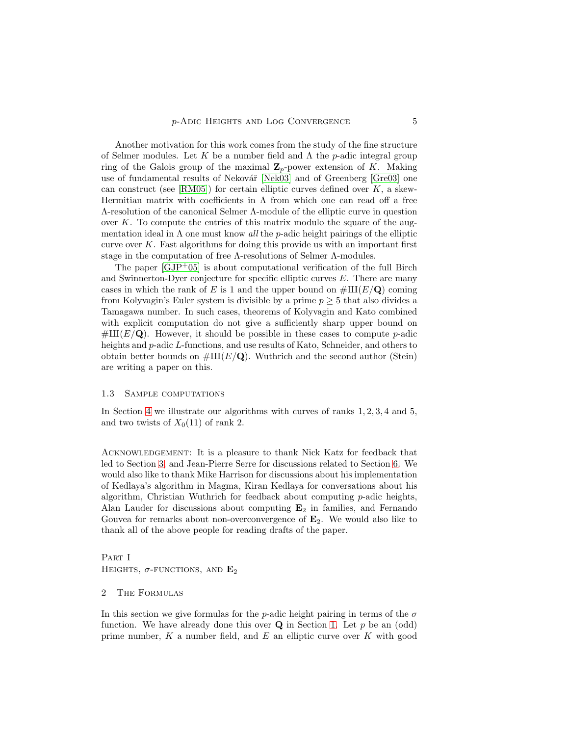Another motivation for this work comes from the study of the fine structure of Selmer modules. Let K be a number field and  $\Lambda$  the p-adic integral group ring of the Galois group of the maximal  $\mathbf{Z}_p$ -power extension of K. Making use of fundamental results of Nekovář [\[Nek03\]](#page-34-5) and of Greenberg [\[Gre03\]](#page-33-2) one can construct (see [\[RM05\]](#page-34-9)) for certain elliptic curves defined over  $K$ , a skew-Hermitian matrix with coefficients in  $\Lambda$  from which one can read off a free Λ-resolution of the canonical Selmer Λ-module of the elliptic curve in question over  $K$ . To compute the entries of this matrix modulo the square of the augmentation ideal in  $\Lambda$  one must know all the p-adic height pairings of the elliptic curve over  $K$ . Fast algorithms for doing this provide us with an important first stage in the computation of free Λ-resolutions of Selmer Λ-modules.

The paper  $[GJP^+05]$  is about computational verification of the full Birch and Swinnerton-Dyer conjecture for specific elliptic curves  $E$ . There are many cases in which the rank of E is 1 and the upper bound on  $\#\text{III}(E/\text{Q})$  coming from Kolyvagin's Euler system is divisible by a prime  $p \geq 5$  that also divides a Tamagawa number. In such cases, theorems of Kolyvagin and Kato combined with explicit computation do not give a sufficiently sharp upper bound on  $\#\text{III}(E/\textbf{Q})$ . However, it should be possible in these cases to compute p-adic heights and p-adic L-functions, and use results of Kato, Schneider, and others to obtain better bounds on  $\#III(E/Q)$ . Wuthrich and the second author (Stein) are writing a paper on this.

#### 1.3 Sample computations

In Section [4](#page-14-0) we illustrate our algorithms with curves of ranks 1, 2, 3, 4 and 5, and two twists of  $X_0(11)$  of rank 2.

Acknowledgement: It is a pleasure to thank Nick Katz for feedback that led to Section [3,](#page-10-0) and Jean-Pierre Serre for discussions related to Section [6.](#page-26-0) We would also like to thank Mike Harrison for discussions about his implementation of Kedlaya's algorithm in Magma, Kiran Kedlaya for conversations about his algorithm, Christian Wuthrich for feedback about computing  $p$ -adic heights, Alan Lauder for discussions about computing  $E_2$  in families, and Fernando Gouvea for remarks about non-overconvergence of  $\mathbf{E}_2$ . We would also like to thank all of the above people for reading drafts of the paper.

PART I HEIGHTS,  $\sigma$ -FUNCTIONS, AND  $\mathbf{E}_2$ 

# 2 The Formulas

In this section we give formulas for the p-adic height pairing in terms of the  $\sigma$ function. We have already done this over  $Q$  in Section [1.](#page-0-2) Let p be an (odd) prime number,  $K$  a number field, and  $E$  an elliptic curve over  $K$  with good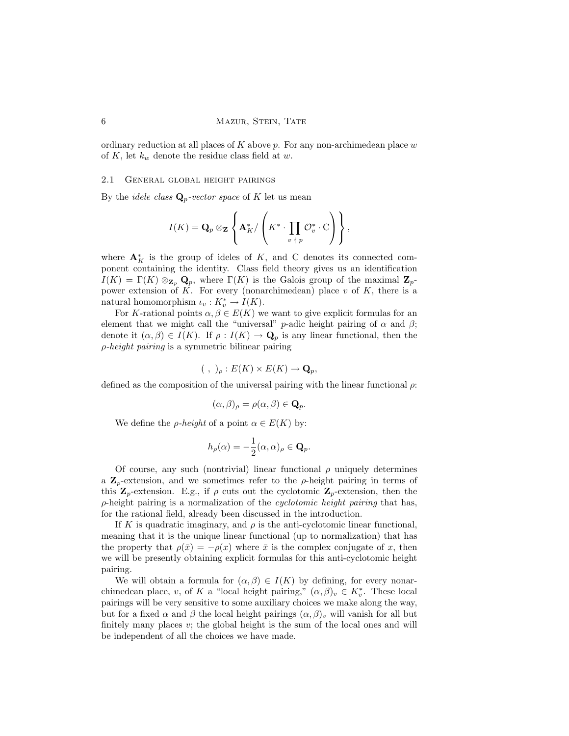ordinary reduction at all places of  $K$  above p. For any non-archimedean place w of K, let  $k_w$  denote the residue class field at w.

#### 2.1 General global height pairings

By the *idele class*  $\mathbf{Q}_p$ -vector space of K let us mean

$$
I(K) = \mathbf{Q}_p \otimes_{\mathbf{Z}} \left\{ \mathbf{A}_K^* / \left( K^* \cdot \prod_{v \; | \; p} \mathcal{O}_v^* \cdot \mathrm{C} \right) \right\},\,
$$

where  $\mathbf{A}_K^*$  is the group of ideles of K, and C denotes its connected component containing the identity. Class field theory gives us an identification  $I(K) = \Gamma(K) \otimes_{\mathbf{Z}_p} \mathbf{Q}_p$ , where  $\Gamma(K)$  is the Galois group of the maximal  $\mathbf{Z}_p$ power extension of  $K$ . For every (nonarchimedean) place  $v$  of  $K$ , there is a natural homomorphism  $\iota_v: K_v^* \to I(K)$ .

For K-rational points  $\alpha, \beta \in E(K)$  we want to give explicit formulas for an element that we might call the "universal" *p*-adic height pairing of  $\alpha$  and  $\beta$ ; denote it  $(\alpha, \beta) \in I(K)$ . If  $\rho: I(K) \to \mathbf{Q}_p$  is any linear functional, then the  $\rho$ -height pairing is a symmetric bilinear pairing

$$
(\ ,\ )_{\rho}:E(K)\times E(K)\rightarrow \mathbf{Q}_{p},
$$

defined as the composition of the universal pairing with the linear functional  $\rho$ :

$$
(\alpha,\beta)_{\rho} = \rho(\alpha,\beta) \in \mathbf{Q}_p.
$$

We define the *ρ*-height of a point  $\alpha \in E(K)$  by:

$$
h_{\rho}(\alpha) = -\frac{1}{2}(\alpha, \alpha)_{\rho} \in \mathbf{Q}_p.
$$

Of course, any such (nontrivial) linear functional  $\rho$  uniquely determines a  $\mathbb{Z}_p$ -extension, and we sometimes refer to the  $\rho$ -height pairing in terms of this  $\mathbf{Z}_p$ -extension. E.g., if  $\rho$  cuts out the cyclotomic  $\mathbf{Z}_p$ -extension, then the  $\rho$ -height pairing is a normalization of the *cyclotomic height pairing* that has, for the rational field, already been discussed in the introduction.

If K is quadratic imaginary, and  $\rho$  is the anti-cyclotomic linear functional, meaning that it is the unique linear functional (up to normalization) that has the property that  $\rho(\bar{x}) = -\rho(x)$  where  $\bar{x}$  is the complex conjugate of x, then we will be presently obtaining explicit formulas for this anti-cyclotomic height pairing.

We will obtain a formula for  $(\alpha, \beta) \in I(K)$  by defining, for every nonarchimedean place, v, of K a "local height pairing,"  $(\alpha, \beta)_v \in K_v^*$ . These local pairings will be very sensitive to some auxiliary choices we make along the way, but for a fixed  $\alpha$  and  $\beta$  the local height pairings  $(\alpha, \beta)_v$  will vanish for all but finitely many places  $v$ ; the global height is the sum of the local ones and will be independent of all the choices we have made.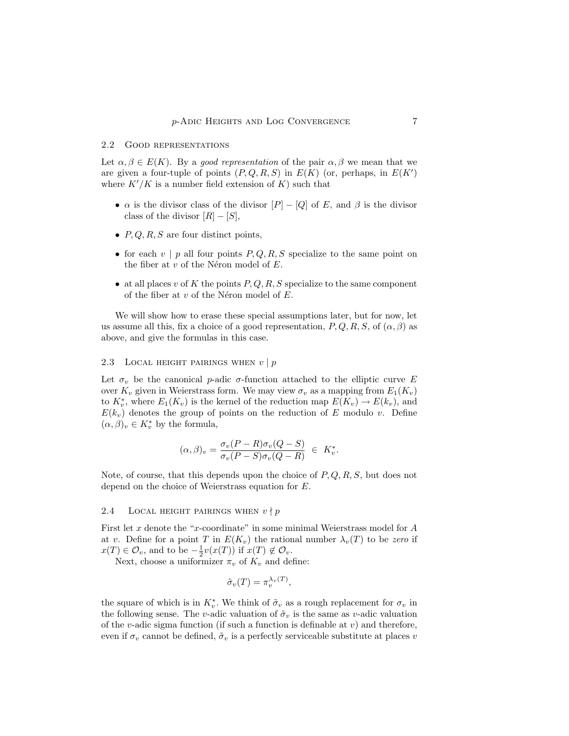### <span id="page-6-0"></span>2.2 Good representations

Let  $\alpha, \beta \in E(K)$ . By a good representation of the pair  $\alpha, \beta$  we mean that we are given a four-tuple of points  $(P, Q, R, S)$  in  $E(K)$  (or, perhaps, in  $E(K')$ ) where  $K'/K$  is a number field extension of K) such that

- $\alpha$  is the divisor class of the divisor  $[P] [Q]$  of E, and  $\beta$  is the divisor class of the divisor  $[R] - [S]$ ,
- $P, Q, R, S$  are four distinct points,
- for each  $v | p$  all four points  $P, Q, R, S$  specialize to the same point on the fiber at  $v$  of the Néron model of  $E$ .
- at all places v of K the points  $P, Q, R, S$  specialize to the same component of the fiber at  $v$  of the Néron model of  $E$ .

We will show how to erase these special assumptions later, but for now, let us assume all this, fix a choice of a good representation,  $P, Q, R, S$ , of  $(\alpha, \beta)$  as above, and give the formulas in this case.

# 2.3 LOCAL HEIGHT PAIRINGS WHEN  $v | p$

Let  $\sigma_v$  be the canonical p-adic  $\sigma$ -function attached to the elliptic curve E over  $K_v$  given in Weierstrass form. We may view  $\sigma_v$  as a mapping from  $E_1(K_v)$ to  $K_v^*$ , where  $E_1(K_v)$  is the kernel of the reduction map  $E(K_v) \to E(k_v)$ , and  $E(k_v)$  denotes the group of points on the reduction of E modulo v. Define  $(\alpha, \beta)_v \in K_v^*$  by the formula,

$$
(\alpha,\beta)_v = \frac{\sigma_v(P-R)\sigma_v(Q-S)}{\sigma_v(P-S)\sigma_v(Q-R)} \in K_v^*.
$$

Note, of course, that this depends upon the choice of  $P, Q, R, S$ , but does not depend on the choice of Weierstrass equation for E.

# 2.4 LOCAL HEIGHT PAIRINGS WHEN  $v \nmid p$

First let  $x$  denote the " $x$ -coordinate" in some minimal Weierstrass model for  $A$ at v. Define for a point T in  $E(K_v)$  the rational number  $\lambda_v(T)$  to be zero if  $x(T) \in \mathcal{O}_v$ , and to be  $-\frac{1}{2}v(x(T))$  if  $x(T) \notin \mathcal{O}_v$ .

Next, choose a uniformizer  $\pi_v$  of  $K_v$  and define:

$$
\tilde{\sigma}_v(T) = \pi_v^{\lambda_v(T)},
$$

the square of which is in  $K_v^*$ . We think of  $\tilde{\sigma}_v$  as a rough replacement for  $\sigma_v$  in the following sense. The v-adic valuation of  $\tilde{\sigma}_v$  is the same as v-adic valuation of the v-adic sigma function (if such a function is definable at v) and therefore, even if  $\sigma_v$  cannot be defined,  $\tilde{\sigma}_v$  is a perfectly serviceable substitute at places v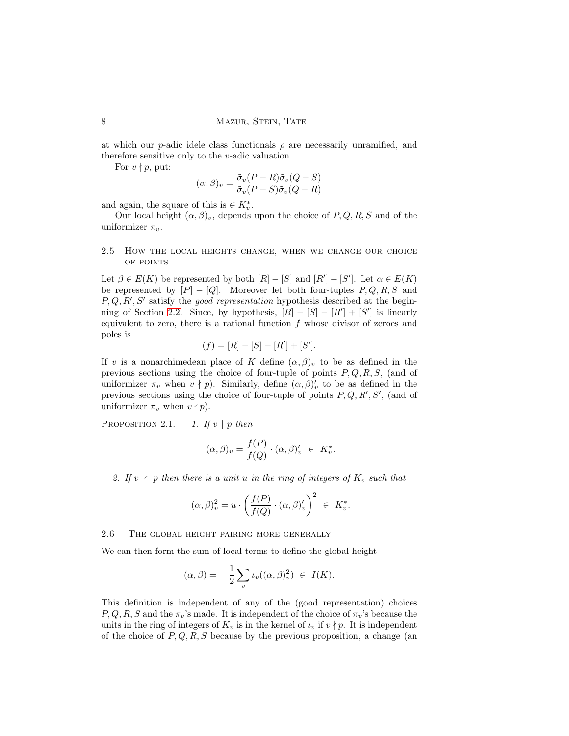### 8 MAZUR, STEIN, TATE

at which our p-adic idele class functionals  $\rho$  are necessarily unramified, and therefore sensitive only to the v-adic valuation.

For  $v \nmid p$ , put:

$$
(\alpha, \beta)_v = \frac{\tilde{\sigma}_v (P - R)\tilde{\sigma}_v (Q - S)}{\tilde{\sigma}_v (P - S)\tilde{\sigma}_v (Q - R)}
$$

and again, the square of this is  $\in K_v^*$ .

Our local height  $(\alpha, \beta)_v$ , depends upon the choice of P, Q, R, S and of the uniformizer  $\pi_v$ .

# 2.5 How the local heights change, when we change our choice of points

Let  $\beta \in E(K)$  be represented by both  $[R] - [S]$  and  $[R'] - [S']$ . Let  $\alpha \in E(K)$ be represented by  $[P] - [Q]$ . Moreover let both four-tuples  $P, Q, R, S$  and  $P, Q, R', S'$  satisfy the *good representation* hypothesis described at the begin-ning of Section [2.2.](#page-6-0) Since, by hypothesis,  $[R] - [S] - [R'] + [S']$  is linearly equivalent to zero, there is a rational function  $f$  whose divisor of zeroes and poles is

$$
(f) = [R] - [S] - [R'] + [S'].
$$

If v is a nonarchimedean place of K define  $(\alpha, \beta)_v$  to be as defined in the previous sections using the choice of four-tuple of points  $P, Q, R, S$ , (and of uniformizer  $\pi_v$  when  $v \nmid p$ ). Similarly, define  $(\alpha, \beta)'_v$  to be as defined in the previous sections using the choice of four-tuple of points  $P, Q, R', S'$ , (and of uniformizer  $\pi_v$  when  $v \nmid p$ .

PROPOSITION 2.1. 1. If  $v \mid p$  then

$$
(\alpha,\beta)_v = \frac{f(P)}{f(Q)} \cdot (\alpha,\beta)'_v \in K_v^*.
$$

2. If  $v \nmid p$  then there is a unit u in the ring of integers of  $K_v$  such that

$$
(\alpha,\beta)_v^2 = u \cdot \left(\frac{f(P)}{f(Q)} \cdot (\alpha,\beta)_v'\right)^2 \ \in \ K_v^*.
$$

### 2.6 The global height pairing more generally

We can then form the sum of local terms to define the global height

$$
(\alpha,\beta) = \frac{1}{2} \sum_{v} \iota_{v}((\alpha,\beta)_{v}^{2}) \in I(K).
$$

This definition is independent of any of the (good representation) choices  $P, Q, R, S$  and the  $\pi_v$ 's made. It is independent of the choice of  $\pi_v$ 's because the units in the ring of integers of  $K_v$  is in the kernel of  $\iota_v$  if  $v \nmid p$ . It is independent of the choice of  $P,Q,R,S$  because by the previous proposition, a change (an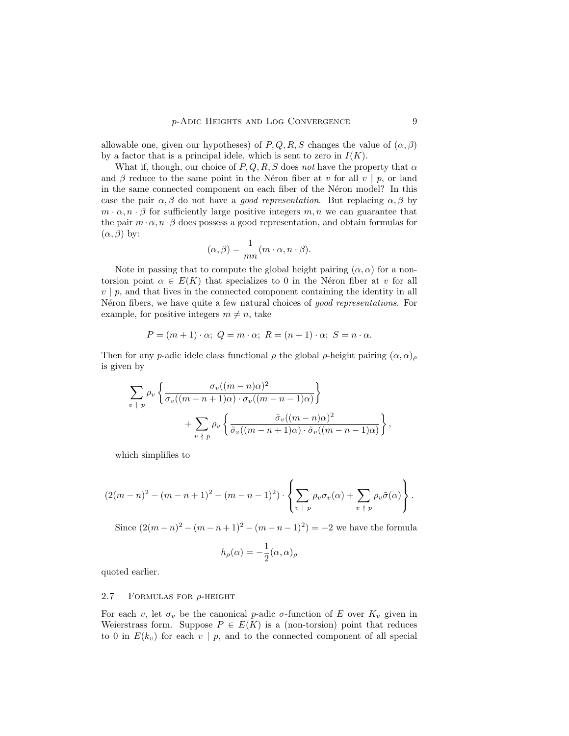allowable one, given our hypotheses) of P, Q, R, S changes the value of  $(\alpha, \beta)$ by a factor that is a principal idele, which is sent to zero in  $I(K)$ .

What if, though, our choice of P, Q, R, S does not have the property that  $\alpha$ and  $\beta$  reduce to the same point in the Néron fiber at v for all v | p, or land in the same connected component on each fiber of the Néron model? In this case the pair  $\alpha, \beta$  do not have a *good representation*. But replacing  $\alpha, \beta$  by  $m \cdot \alpha$ ,  $n \cdot \beta$  for sufficiently large positive integers  $m, n$  we can guarantee that the pair  $m \cdot \alpha$ ,  $n \cdot \beta$  does possess a good representation, and obtain formulas for  $(\alpha, \beta)$  by:

$$
(\alpha, \beta) = \frac{1}{mn}(m \cdot \alpha, n \cdot \beta).
$$

Note in passing that to compute the global height pairing  $(\alpha, \alpha)$  for a nontorsion point  $\alpha \in E(K)$  that specializes to 0 in the Néron fiber at v for all  $v \mid p$ , and that lives in the connected component containing the identity in all Néron fibers, we have quite a few natural choices of good representations. For example, for positive integers  $m \neq n$ , take

$$
P = (m+1) \cdot \alpha; \ Q = m \cdot \alpha; \ R = (n+1) \cdot \alpha; \ S = n \cdot \alpha.
$$

Then for any p-adic idele class functional  $\rho$  the global  $\rho$ -height pairing  $(\alpha, \alpha)$ <sub>ρ</sub> is given by

$$
\sum_{v \;|\; p} \rho_v \left\{ \frac{\sigma_v((m-n)\alpha)^2}{\sigma_v((m-n+1)\alpha) \cdot \sigma_v((m-n-1)\alpha)} \right\} \n+ \sum_{v \;|\; p} \rho_v \left\{ \frac{\tilde{\sigma}_v((m-n)\alpha)^2}{\tilde{\sigma}_v((m-n+1)\alpha) \cdot \tilde{\sigma}_v((m-n-1)\alpha)} \right\},
$$

which simplifies to

$$
(2(m-n)^{2}-(m-n+1)^{2}-(m-n-1)^{2})\cdot\left\{\sum_{v\mid p}\rho_{v}\sigma_{v}(\alpha)+\sum_{v\mid p}\rho_{v}\tilde{\sigma}(\alpha)\right\}.
$$

Since  $(2(m-n)^2 - (m-n+1)^2 - (m-n-1)^2) = -2$  we have the formula

$$
h_{\rho}(\alpha) = -\frac{1}{2}(\alpha, \alpha)_{\rho}
$$

quoted earlier.

#### 2.7 FORMULAS FOR  $\rho$ -HEIGHT

For each v, let  $\sigma_v$  be the canonical p-adic  $\sigma$ -function of E over  $K_v$  given in Weierstrass form. Suppose  $P \in E(K)$  is a (non-torsion) point that reduces to 0 in  $E(k_v)$  for each  $v | p$ , and to the connected component of all special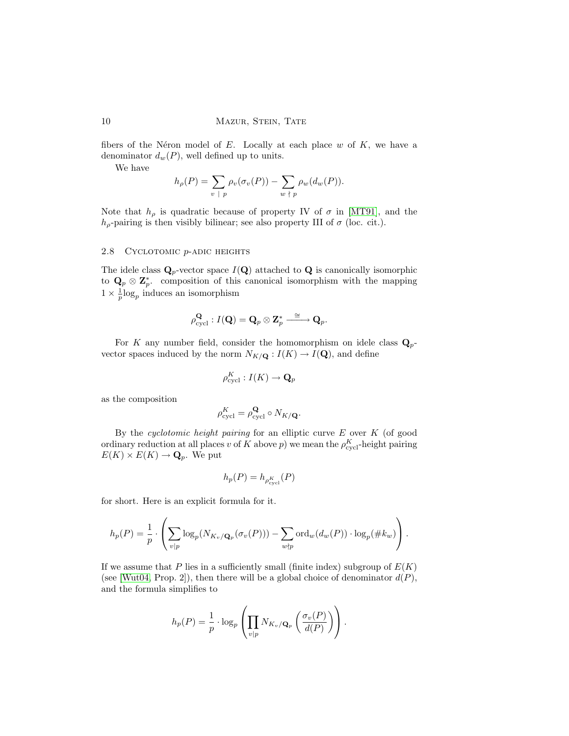fibers of the Néron model of  $E$ . Locally at each place  $w$  of  $K$ , we have a denominator  $d_w(P)$ , well defined up to units.

We have

$$
h_{\rho}(P) = \sum_{v \,|\, p} \rho_v(\sigma_v(P)) - \sum_{w \,|\, p} \rho_w(d_w(P)).
$$

Note that  $h_{\rho}$  is quadratic because of property IV of  $\sigma$  in [\[MT91\]](#page-34-6), and the  $h_{\rho}$ -pairing is then visibly bilinear; see also property III of  $\sigma$  (loc. cit.).

# 2.8 CYCLOTOMIC *p*-ADIC HEIGHTS

The idele class  $\mathbf{Q}_p$ -vector space  $I(\mathbf{Q})$  attached to  $\mathbf{Q}$  is canonically isomorphic to  $\mathbf{Q}_p \otimes \mathbf{Z}_p^*$ , composition of this canonical isomorphism with the mapping  $1 \times \frac{1}{p} \log_p$  induces an isomorphism

$$
\rho_{\text{cycl}}^{\mathbf{Q}}: I(\mathbf{Q}) = \mathbf{Q}_p \otimes \mathbf{Z}_p^* \xrightarrow{\phantom{a}\cong\phantom{a}} \mathbf{Q}_p.
$$

For K any number field, consider the homomorphism on idele class  $\mathbf{Q}_p$ vector spaces induced by the norm  $N_{K/\mathbf{Q}} : I(K) \to I(\mathbf{Q})$ , and define

$$
\rho_{\text{cycl}}^K : I(K) \to \mathbf{Q}_p
$$

as the composition

$$
\rho_{\text{cycl}}^K = \rho_{\text{cycl}}^{\mathbf{Q}} \circ N_{K / \mathbf{Q}}.
$$

By the *cyclotomic height pairing* for an elliptic curve  $E$  over  $K$  (of good ordinary reduction at all places  $v$  of  $K$  above  $p$ ) we mean the  $\rho_{\text{cycl}}^K$ -height pairing  $E(K) \times E(K) \to \mathbf{Q}_p$ . We put

$$
h_p(P)=h_{\rho^K_{\text{cycl}}}(P)
$$

for short. Here is an explicit formula for it.

$$
h_p(P) = \frac{1}{p} \cdot \left( \sum_{v|p} \log_p(N_{K_v/\mathbf{Q}_p}(\sigma_v(P))) - \sum_{w \nmid p} \text{ord}_w(d_w(P)) \cdot \log_p(\# k_w) \right).
$$

If we assume that P lies in a sufficiently small (finite index) subgroup of  $E(K)$ (see [\[Wut04,](#page-35-3) Prop. 2]), then there will be a global choice of denominator  $d(P)$ , and the formula simplifies to

$$
h_p(P) = \frac{1}{p} \cdot \log_p \left( \prod_{v|p} N_{K_v/\mathbf{Q}_p} \left( \frac{\sigma_v(P)}{d(P)} \right) \right).
$$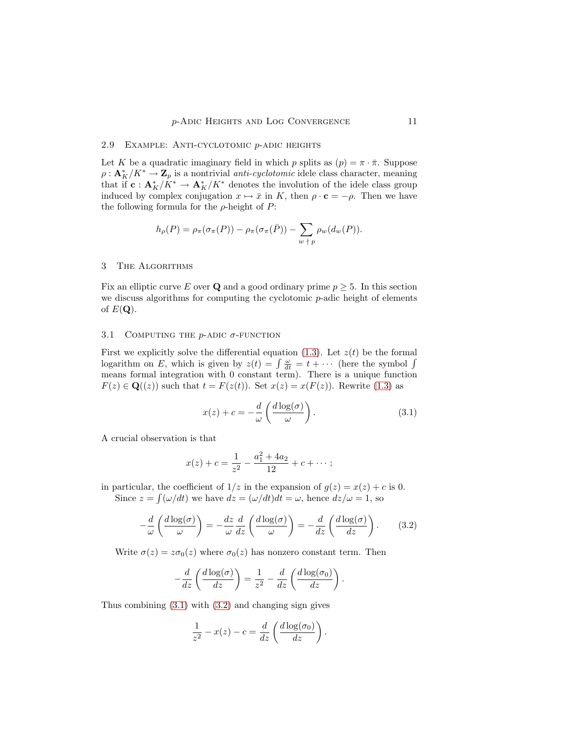#### 2.9 Example: Anti-cyclotomic p-adic heights

Let K be a quadratic imaginary field in which p splits as  $(p) = \pi \cdot \overline{\pi}$ . Suppose  $\rho: \mathbf{A}^*_K/K^* \to \mathbf{Z}_p$  is a nontrivial *anti-cyclotomic* idele class character, meaning that if  $\mathbf{c}: \mathbf{A}_{K}^{*}/K^{*} \to \mathbf{A}_{K}^{*}/K^{*}$  denotes the involution of the idele class group induced by complex conjugation  $x \mapsto \bar{x}$  in K, then  $\rho \cdot \mathbf{c} = -\rho$ . Then we have the following formula for the  $\rho$ -height of P:

$$
h_{\rho}(P) = \rho_{\pi}(\sigma_{\pi}(P)) - \rho_{\pi}(\sigma_{\pi}(\bar{P})) - \sum_{w \; | \; p} \rho_w(d_w(P)).
$$

#### <span id="page-10-0"></span>3 The Algorithms

Fix an elliptic curve E over Q and a good ordinary prime  $p \geq 5$ . In this section we discuss algorithms for computing the cyclotomic  $p$ -adic height of elements of  $E(\mathbf{Q})$ .

#### 3.1 COMPUTING THE  $p$ -ADIC  $\sigma$ -FUNCTION

First we explicitly solve the differential equation [\(1.3\)](#page-2-0). Let  $z(t)$  be the formal logarithm on E, which is given by  $z(t) = \int \frac{\omega}{dt} = t + \cdots$  (here the symbol  $\int$ means formal integration with 0 constant term). There is a unique function  $F(z) \in \mathbf{Q}((z))$  such that  $t = F(z(t))$ . Set  $x(z) = x(F(z))$ . Rewrite [\(1.3\)](#page-2-0) as

<span id="page-10-1"></span>
$$
x(z) + c = -\frac{d}{\omega} \left( \frac{d \log(\sigma)}{\omega} \right). \tag{3.1}
$$

A crucial observation is that

<span id="page-10-2"></span>
$$
x(z) + c = \frac{1}{z^2} - \frac{a_1^2 + 4a_2}{12} + c + \cdots;
$$

in particular, the coefficient of  $1/z$  in the expansion of  $g(z) = x(z) + c$  is 0. Since  $z = \int (\omega/dt)$  we have  $dz = (\omega/dt)dt = \omega$ , hence  $dz/\omega = 1$ , so

$$
-\frac{d}{\omega}\left(\frac{d\log(\sigma)}{\omega}\right) = -\frac{dz}{\omega}\frac{d}{dz}\left(\frac{d\log(\sigma)}{\omega}\right) = -\frac{d}{dz}\left(\frac{d\log(\sigma)}{dz}\right). \tag{3.2}
$$

Write  $\sigma(z) = z\sigma_0(z)$  where  $\sigma_0(z)$  has nonzero constant term. Then

$$
-\frac{d}{dz}\left(\frac{d\log(\sigma)}{dz}\right) = \frac{1}{z^2} - \frac{d}{dz}\left(\frac{d\log(\sigma_0)}{dz}\right).
$$

Thus combining  $(3.1)$  with  $(3.2)$  and changing sign gives

$$
\frac{1}{z^2} - x(z) - c = \frac{d}{dz} \left( \frac{d \log(\sigma_0)}{dz} \right).
$$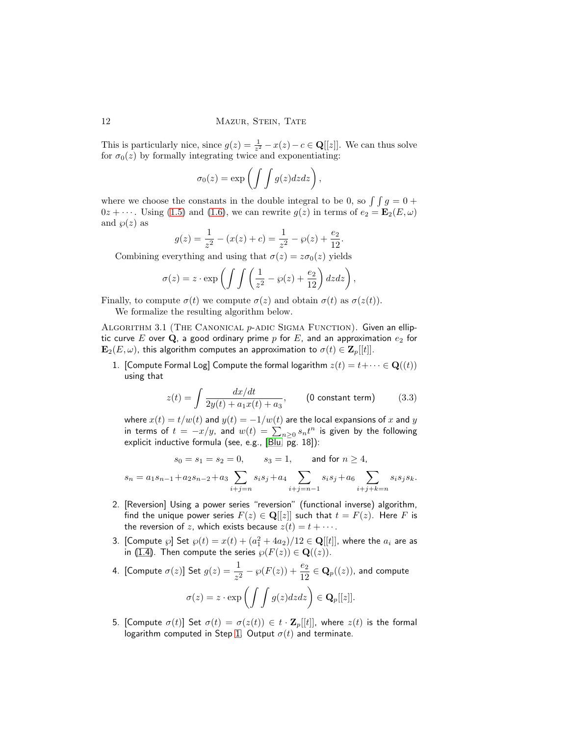This is particularly nice, since  $g(z) = \frac{1}{z^2} - x(z) - c \in \mathbf{Q}[[z]]$ . We can thus solve for  $\sigma_0(z)$  by formally integrating twice and exponentiating:

$$
\sigma_0(z) = \exp\left(\int\int g(z)dzdz\right),\,
$$

where we choose the constants in the double integral to be 0, so  $\int \int g = 0 +$  $0z + \cdots$ . Using [\(1.5\)](#page-3-1) and [\(1.6\)](#page-3-2), we can rewrite  $g(z)$  in terms of  $e_2 = \mathbf{E}_2(E,\omega)$ and  $\varphi(z)$  as

$$
g(z) = \frac{1}{z^2} - (x(z) + c) = \frac{1}{z^2} - \wp(z) + \frac{e_2}{12}.
$$

Combining everything and using that  $\sigma(z) = z\sigma_0(z)$  yields

$$
\sigma(z) = z \cdot \exp\left(\int \int \left(\frac{1}{z^2} - \wp(z) + \frac{e_2}{12}\right) dz dz\right),\,
$$

<span id="page-11-0"></span>Finally, to compute  $\sigma(t)$  we compute  $\sigma(z)$  and obtain  $\sigma(t)$  as  $\sigma(z(t))$ .

We formalize the resulting algorithm below.

<span id="page-11-1"></span>ALGORITHM 3.1 (THE CANONICAL p-ADIC SIGMA FUNCTION). Given an elliptic curve E over Q, a good ordinary prime p for E, and an approximation  $e_2$  for  $\mathbf{E}_2(E,\omega)$ , this algorithm computes an approximation to  $\sigma(t) \in \mathbf{Z}_p[[t]]$ .

<span id="page-11-2"></span>1. [Compute Formal Log] Compute the formal logarithm  $z(t) = t + \cdots \in \mathbf{Q}((t))$ using that

$$
z(t) = \int \frac{dx/dt}{2y(t) + a_1 x(t) + a_3},
$$
 (0 constant term) (3.3)

where  $x(t) = t/w(t)$  and  $y(t) = -1/w(t)$  are the local expansions of x and y in terms of  $t = -x/y$ , and  $w(t) = \sum_{n\geq 0} s_n t^n$  is given by the following explicit inductive formula (see, e.g.,  $[Blu, pg. 18]$ ):

$$
s_0 = s_1 = s_2 = 0, \t s_3 = 1, \t and for n \ge 4,
$$
  

$$
s_n = a_1 s_{n-1} + a_2 s_{n-2} + a_3 \sum_{i+j=n} s_i s_j + a_4 \sum_{i+j=n-1} s_i s_j + a_6 \sum_{i+j+k=n} s_i s_j s_k.
$$

- 2. [Reversion] Using a power series "reversion" (functional inverse) algorithm, find the unique power series  $F(z) \in \mathbf{Q}[[z]]$  such that  $t = F(z)$ . Here F is the reversion of z, which exists because  $z(t) = t + \cdots$ .
- 3. [Compute  $\wp$ ] Set  $\wp(t) = x(t) + (a_1^2 + 4a_2)/12 \in \mathbf{Q}[[t]]$ , where the  $a_i$  are as in [\(1.4\)](#page-3-3). Then compute the series  $\wp(F(z)) \in \mathbf{Q}((z)).$
- 4. [Compute  $\sigma(z)$ ] Set  $g(z) = \frac{1}{z^2} \wp(F(z)) + \frac{e_2}{12} \in \mathbf{Q}_p((z))$ , and compute  $\sigma(z) = z \cdot \exp\left(\int\int g(z)dzdz\right) \in \mathbf{Q}_p[[z]].$
- 5. [Compute  $\sigma(t)$ ] Set  $\sigma(t) = \sigma(z(t)) \in t \cdot \mathbf{Z}_p[[t]]$ , where  $z(t)$  is the formal logarithm computed in Step [1.](#page-11-1) Output  $\sigma(t)$  and terminate.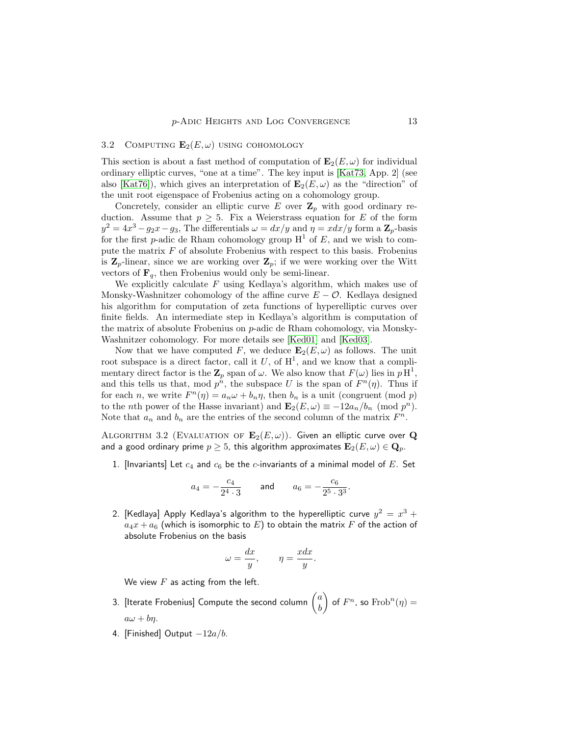## <span id="page-12-0"></span>3.2 COMPUTING  $\mathbf{E}_2(E,\omega)$  using cohomology

This section is about a fast method of computation of  $\mathbf{E}_2(E,\omega)$  for individual ordinary elliptic curves, "one at a time". The key input is [\[Kat73,](#page-33-4) App. 2] (see also [\[Kat76\]](#page-33-5)), which gives an interpretation of  $\mathbf{E}_2(E,\omega)$  as the "direction" of the unit root eigenspace of Frobenius acting on a cohomology group.

Concretely, consider an elliptic curve E over  $\mathbb{Z}_p$  with good ordinary reduction. Assume that  $p \geq 5$ . Fix a Weierstrass equation for E of the form  $y^2 = 4x^3 - g_2x - g_3$ , The differentials  $\omega = dx/y$  and  $\eta = x dx/y$  form a  $\mathbb{Z}_p$ -basis for the first p-adic de Rham cohomology group  $H^1$  of E, and we wish to compute the matrix  $F$  of absolute Frobenius with respect to this basis. Frobenius is  $\mathbf{Z}_p$ -linear, since we are working over  $\mathbf{Z}_p$ ; if we were working over the Witt vectors of  $\mathbf{F}_q$ , then Frobenius would only be semi-linear.

We explicitly calculate  $F$  using Kedlaya's algorithm, which makes use of Monsky-Washnitzer cohomology of the affine curve  $E - \mathcal{O}$ . Kedlaya designed his algorithm for computation of zeta functions of hyperelliptic curves over finite fields. An intermediate step in Kedlaya's algorithm is computation of the matrix of absolute Frobenius on p-adic de Rham cohomology, via Monsky-Washnitzer cohomology. For more details see [\[Ked01\]](#page-33-6) and [\[Ked03\]](#page-33-7).

Now that we have computed F, we deduce  $\mathbf{E}_2(E,\omega)$  as follows. The unit root subspace is a direct factor, call it U, of  $H^1$ , and we know that a complimentary direct factor is the  $\mathbb{Z}_p$  span of  $\omega$ . We also know that  $F(\omega)$  lies in  $p\,\mathrm{H}^1$ , and this tells us that, mod  $p^n$ , the subspace U is the span of  $F^n(\eta)$ . Thus if for each *n*, we write  $F^{n}(\eta) = a_n \omega + b_n \eta$ , then  $b_n$  is a unit (congruent (mod *p*) to the *n*th power of the Hasse invariant) and  $\mathbf{E}_2(E,\omega) \equiv -12a_n/b_n \pmod{p^n}$ . Note that  $a_n$  and  $b_n$  are the entries of the second column of the matrix  $F^n$ .

<span id="page-12-1"></span>ALGORITHM 3.2 (EVALUATION OF  $\mathbf{E}_2(E,\omega)$ ). Given an elliptic curve over Q and a good ordinary prime  $p \geq 5$ , this algorithm approximates  $\mathbf{E}_2(E,\omega) \in \mathbf{Q}_p$ .

1. [Invariants] Let  $c_4$  and  $c_6$  be the  $c$ -invariants of a minimal model of  $E$ . Set

$$
a_4 = -\frac{c_4}{2^4 \cdot 3}
$$
 and  $a_6 = -\frac{c_6}{2^5 \cdot 3^3}$ .

2. [Kedlaya] Apply Kedlaya's algorithm to the hyperelliptic curve  $y^2\,=\,x^3\,+$  $a_4x + a_6$  (which is isomorphic to E) to obtain the matrix F of the action of absolute Frobenius on the basis

$$
y = \frac{dx}{y}, \qquad \eta = \frac{xdx}{y}.
$$

We view  $F$  as acting from the left.

 $\mu$ 

- 3. [Iterate Frobenius] Compute the second column  $\left(\begin{matrix}a\ b\end{matrix}\right)$ b  $\Big)$  of  $F^n$ , so  $Frob^n(\eta) =$  $a\omega + b\eta$ .
- 4. [Finished] Output  $-12a/b$ .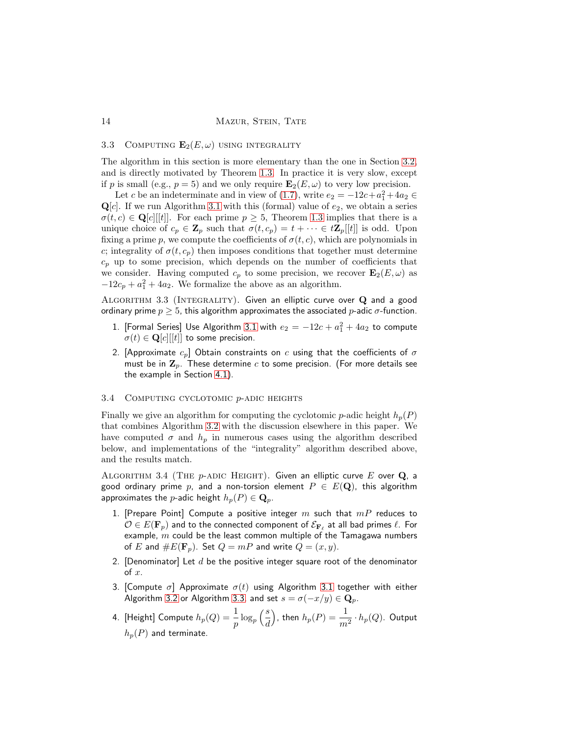## 3.3 COMPUTING  $\mathbf{E}_2(E,\omega)$  using integrality

The algorithm in this section is more elementary than the one in Section [3.2,](#page-12-0) and is directly motivated by Theorem [1.3.](#page-2-2) In practice it is very slow, except if p is small (e.g.,  $p = 5$ ) and we only require  $\mathbf{E}_2(E,\omega)$  to very low precision.

Let c be an indeterminate and in view of [\(1.7\)](#page-3-4), write  $e_2 = -12c + a_1^2 + 4a_2 \in$  $\mathbf{Q}[c]$ . If we run Algorithm [3.1](#page-11-0) with this (formal) value of  $e_2$ , we obtain a series  $\sigma(t,c) \in \mathbf{Q}[c][t]$ . For each prime  $p \geq 5$ , Theorem [1.3](#page-2-2) implies that there is a unique choice of  $c_p \in \mathbf{Z}_p$  such that  $\sigma(t,c_p) = t + \cdots \in t\mathbf{Z}_p[[t]]$  is odd. Upon fixing a prime p, we compute the coefficients of  $\sigma(t,c)$ , which are polynomials in c; integrality of  $\sigma(t,c_p)$  then imposes conditions that together must determine  $c_p$  up to some precision, which depends on the number of coefficients that we consider. Having computed  $c_p$  to some precision, we recover  $\mathbf{E}_2(E,\omega)$  as  $-12c_p + a_1^2 + 4a_2$ . We formalize the above as an algorithm.

<span id="page-13-0"></span>ALGORITHM  $3.3$  (INTEGRALITY). Given an elliptic curve over  $Q$  and a good ordinary prime  $p \geq 5$ , this algorithm approximates the associated p-adic  $\sigma$ -function.

- 1. [Formal Series] Use Algorithm [3.1](#page-11-0) with  $e_2 = -12c + a_1^2 + 4a_2$  to compute  $\sigma(t) \in \mathbf{Q}[c][[t]]$  to some precision.
- 2. [Approximate  $c_p$ ] Obtain constraints on  $c$  using that the coefficients of  $\sigma$ must be in  $\mathbf{Z}_p$ . These determine c to some precision. (For more details see the example in Section [4.1\)](#page-14-1).

## 3.4 COMPUTING CYCLOTOMIC  $p$ -ADIC HEIGHTS

Finally we give an algorithm for computing the cyclotomic p-adic height  $h_p(P)$ that combines Algorithm [3.2](#page-12-1) with the discussion elsewhere in this paper. We have computed  $\sigma$  and  $h_p$  in numerous cases using the algorithm described below, and implementations of the "integrality" algorithm described above, and the results match.

<span id="page-13-1"></span>ALGORITHM 3.4 (THE  $p$ -ADIC HEIGHT). Given an elliptic curve E over Q, a good ordinary prime p, and a non-torsion element  $P \in E(\mathbf{Q})$ , this algorithm approximates the *p*-adic height  $h_p(P) \in \mathbf{Q}_p$ .

- 1. [Prepare Point] Compute a positive integer  $m$  such that  $mP$  reduces to  $\mathcal{O} \in E(\mathbf{F}_p)$  and to the connected component of  $\mathcal{E}_{\mathbf{F}_\ell}$  at all bad primes  $\ell.$  For example,  $m$  could be the least common multiple of the Tamagawa numbers of E and  $\#E(\mathbf{F}_p)$ . Set  $Q = mP$  and write  $Q = (x, y)$ .
- 2. [Denominator] Let  $d$  be the positive integer square root of the denominator  $\circ$ f  $x$ .
- 3. [Compute  $\sigma$ ] Approximate  $\sigma(t)$  using Algorithm [3.1](#page-11-0) together with either Algorithm [3.2](#page-12-1) or Algorithm [3.3,](#page-13-0) and set  $s = \sigma(-x/y) \in \mathbf{Q}_p$ .
- 4. [Height] Compute  $h_p(Q) = \frac{1}{p} \log_p \left( \frac{s}{d} \right)$ d ), then  $h_p(P) = \displaystyle\frac{1}{m^2} \cdot h_p(Q).$  Output  $h_p(P)$  and terminate.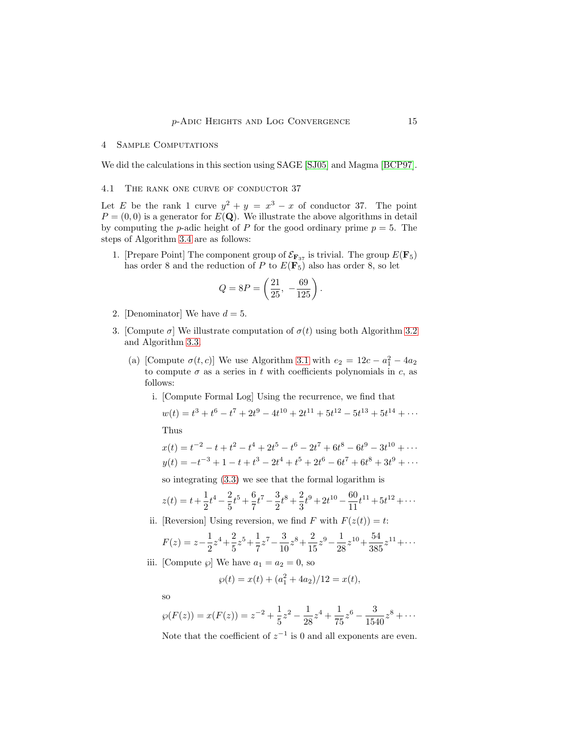#### <span id="page-14-0"></span>4 Sample Computations

We did the calculations in this section using SAGE [\[SJ05\]](#page-33-8) and Magma [\[BCP97\]](#page-32-2).

## <span id="page-14-1"></span>4.1 The rank one curve of conductor 37

Let E be the rank 1 curve  $y^2 + y = x^3 - x$  of conductor 37. The point  $P = (0, 0)$  is a generator for  $E(\mathbf{Q})$ . We illustrate the above algorithms in detail by computing the *p*-adic height of P for the good ordinary prime  $p = 5$ . The steps of Algorithm [3.4](#page-13-1) are as follows:

1. [Prepare Point] The component group of  $\mathcal{E}_{\mathbf{F}_{37}}$  is trivial. The group  $E(\mathbf{F}_5)$ has order 8 and the reduction of P to  $E(\mathbf{F}_5)$  also has order 8, so let

$$
Q = 8P = \left(\frac{21}{25}, -\frac{69}{125}\right).
$$

- 2. [Denominator] We have  $d = 5$ .
- 3. [Compute  $\sigma$ ] We illustrate computation of  $\sigma(t)$  using both Algorithm [3.2](#page-12-1) and Algorithm [3.3.](#page-13-0)
	- (a) [Compute  $\sigma(t, c)$ ] We use Algorithm [3.1](#page-11-0) with  $e_2 = 12c a_1^2 4a_2$ to compute  $\sigma$  as a series in t with coefficients polynomials in c, as follows:
		- i. [Compute Formal Log] Using the recurrence, we find that

$$
w(t) = t^3 + t^6 - t^7 + 2t^9 - 4t^{10} + 2t^{11} + 5t^{12} - 5t^{13} + 5t^{14} + \cdots
$$
  
Thus

 $x(t) = t^{-2} - t + t^2 - t^4 + 2t^5 - t^6 - 2t^7 + 6t^8 - 6t^9 - 3t^{10} + \cdots$  $y(t) = -t^{-3} + 1 - t + t^{3} - 2t^{4} + t^{5} + 2t^{6} - 6t^{7} + 6t^{8} + 3t^{9} + \cdots$ 

so integrating [\(3.3\)](#page-11-2) we see that the formal logarithm is

$$
z(t) = t + \frac{1}{2}t^4 - \frac{2}{5}t^5 + \frac{6}{7}t^7 - \frac{3}{2}t^8 + \frac{2}{3}t^9 + 2t^{10} - \frac{60}{11}t^{11} + 5t^{12} + \cdots
$$

ii. [Reversion] Using reversion, we find F with  $F(z(t)) = t$ :

$$
F(z) = z - \frac{1}{2}z^4 + \frac{2}{5}z^5 + \frac{1}{7}z^7 - \frac{3}{10}z^8 + \frac{2}{15}z^9 - \frac{1}{28}z^{10} + \frac{54}{385}z^{11} + \dots
$$

iii. [Compute  $\wp$ ] We have  $a_1 = a_2 = 0$ , so

$$
\wp(t) = x(t) + (a_1^2 + 4a_2)/12 = x(t),
$$

so

$$
\wp(F(z)) = x(F(z)) = z^{-2} + \frac{1}{5}z^2 - \frac{1}{28}z^4 + \frac{1}{75}z^6 - \frac{3}{1540}z^8 + \cdots
$$

Note that the coefficient of  $z^{-1}$  is 0 and all exponents are even.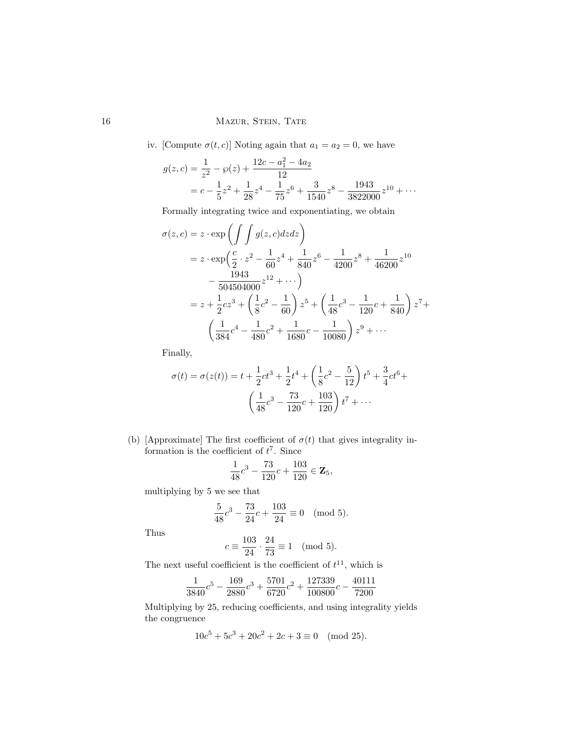# 16 MAZUR, STEIN, TATE

iv. [Compute  $\sigma(t, c)$ ] Noting again that  $a_1 = a_2 = 0$ , we have

$$
g(z,c) = \frac{1}{z^2} - \wp(z) + \frac{12c - a_1^2 - 4a_2}{12}
$$
  
=  $c - \frac{1}{5}z^2 + \frac{1}{28}z^4 - \frac{1}{75}z^6 + \frac{3}{1540}z^8 - \frac{1943}{3822000}z^{10} + \cdots$ 

Formally integrating twice and exponentiating, we obtain

$$
\sigma(z, c) = z \cdot \exp\left(\int \int g(z, c) dz dz\right)
$$
  
=  $z \cdot \exp\left(\frac{c}{2} \cdot z^2 - \frac{1}{60}z^4 + \frac{1}{840}z^6 - \frac{1}{4200}z^8 + \frac{1}{46200}z^{10}\right)$   

$$
- \frac{1943}{504504000}z^{12} + \cdots\right)
$$
  
=  $z + \frac{1}{2}cz^3 + \left(\frac{1}{8}c^2 - \frac{1}{60}\right)z^5 + \left(\frac{1}{48}c^3 - \frac{1}{120}c + \frac{1}{840}\right)z^7 + \left(\frac{1}{384}c^4 - \frac{1}{480}c^2 + \frac{1}{1680}c - \frac{1}{10080}\right)z^9 + \cdots$ 

Finally,

$$
\sigma(t) = \sigma(z(t)) = t + \frac{1}{2}ct^3 + \frac{1}{2}t^4 + \left(\frac{1}{8}c^2 - \frac{5}{12}\right)t^5 + \frac{3}{4}ct^6 + \left(\frac{1}{48}c^3 - \frac{73}{120}c + \frac{103}{120}\right)t^7 + \dots
$$

(b) [Approximate] The first coefficient of  $\sigma(t)$  that gives integrality information is the coefficient of  $t^7$ . Since

$$
\frac{1}{48}c^3 - \frac{73}{120}c + \frac{103}{120} \in \mathbf{Z}_5,
$$

multiplying by 5 we see that

$$
\frac{5}{48}c^3 - \frac{73}{24}c + \frac{103}{24} \equiv 0 \pmod{5}.
$$

Thus

$$
c \equiv \frac{103}{24} \cdot \frac{24}{73} \equiv 1 \pmod{5}.
$$

The next useful coefficient is the coefficient of  $t^{11}$ , which is

$$
\frac{1}{3840}c^5 - \frac{169}{2880}c^3 + \frac{5701}{6720}c^2 + \frac{127339}{100800}c - \frac{40111}{7200}
$$

Multiplying by 25, reducing coefficients, and using integrality yields the congruence

$$
10c^5 + 5c^3 + 20c^2 + 2c + 3 \equiv 0 \pmod{25}.
$$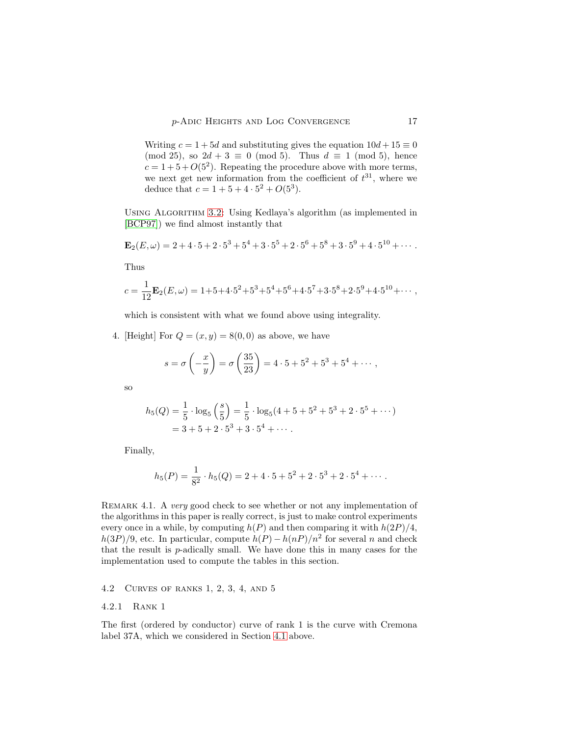Writing  $c = 1 + 5d$  and substituting gives the equation  $10d + 15 \equiv 0$ (mod 25), so  $2d + 3 \equiv 0 \pmod{5}$ . Thus  $d \equiv 1 \pmod{5}$ , hence  $c = 1 + 5 + O(5^2)$ . Repeating the procedure above with more terms, we next get new information from the coefficient of  $t^{31}$ , where we deduce that  $c = 1 + 5 + 4 \cdot 5^2 + O(5^3)$ .

Using Algorithm [3.2:](#page-12-1) Using Kedlaya's algorithm (as implemented in [\[BCP97\]](#page-32-2)) we find almost instantly that

$$
\mathbf{E}_2(E,\omega) = 2 + 4 \cdot 5 + 2 \cdot 5^3 + 5^4 + 3 \cdot 5^5 + 2 \cdot 5^6 + 5^8 + 3 \cdot 5^9 + 4 \cdot 5^{10} + \cdots
$$

Thus

$$
c = \frac{1}{12} \mathbf{E}_2(E, \omega) = 1 + 5 + 4 \cdot 5^2 + 5^3 + 5^4 + 5^6 + 4 \cdot 5^7 + 3 \cdot 5^8 + 2 \cdot 5^9 + 4 \cdot 5^{10} + \cdots,
$$

which is consistent with what we found above using integrality.

4. [Height] For  $Q = (x, y) = 8(0, 0)$  as above, we have

$$
s = \sigma\left(-\frac{x}{y}\right) = \sigma\left(\frac{35}{23}\right) = 4 \cdot 5 + 5^2 + 5^3 + 5^4 + \cdots,
$$

so

$$
h_5(Q) = \frac{1}{5} \cdot \log_5\left(\frac{s}{5}\right) = \frac{1}{5} \cdot \log_5(4+5+5^2+5^3+2\cdot5^5+\cdots)
$$
  
= 3 + 5 + 2\cdot5^3 + 3\cdot5^4 + \cdots

Finally,

$$
h_5(P) = \frac{1}{8^2} \cdot h_5(Q) = 2 + 4 \cdot 5 + 5^2 + 2 \cdot 5^3 + 2 \cdot 5^4 + \cdots
$$

REMARK 4.1. A very good check to see whether or not any implementation of the algorithms in this paper is really correct, is just to make control experiments every once in a while, by computing  $h(P)$  and then comparing it with  $h(2P)/4$ ,  $h(3P)/9$ , etc. In particular, compute  $h(P) - h(nP)/n^2$  for several n and check that the result is p-adically small. We have done this in many cases for the implementation used to compute the tables in this section.

## 4.2 Curves of ranks 1, 2, 3, 4, and 5

# 4.2.1 Rank 1

The first (ordered by conductor) curve of rank 1 is the curve with Cremona label 37A, which we considered in Section [4.1](#page-14-1) above.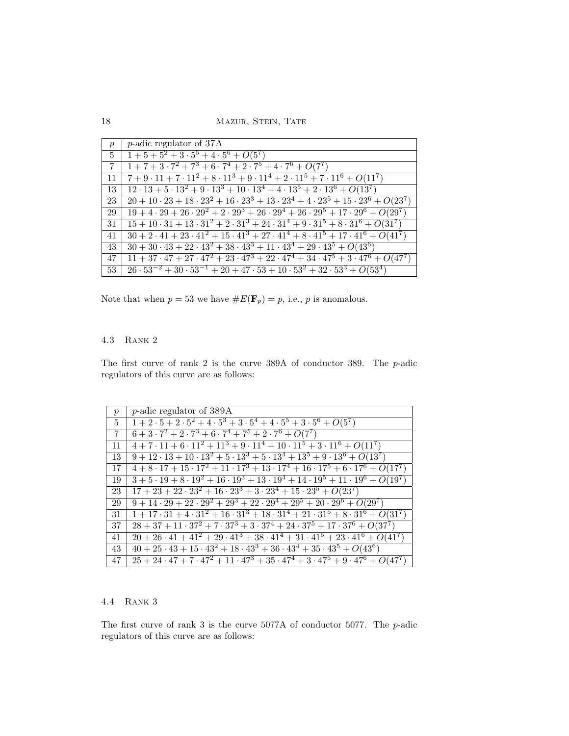18 MAZUR, STEIN, TATE

| $\overline{p}$  | $\mu$ -adic regulator of 37A                                                                                |
|-----------------|-------------------------------------------------------------------------------------------------------------|
|                 | $5\left[1+5+5^2+3\cdot5^5+4\cdot5^6+O(5^7)\right]$                                                          |
| $7\overline{ }$ | $1+7+3\cdot7^2+7^3+6\cdot7^4+2\cdot7^5+4\cdot7^6+O(7^7)$                                                    |
| 11              | $7+9\cdot 11+7\cdot 11^2+8\cdot 11^3+9\cdot 11^4+2\cdot 11^5+7\cdot 11^6+O(11^7)$                           |
| 13              | $12 \cdot 13 + 5 \cdot 13^2 + 9 \cdot 13^3 + 10 \cdot 13^4 + 4 \cdot 13^5 + 2 \cdot 13^6 + O(13^7)$         |
| 23              | $20 + 10 \cdot 23 + 18 \cdot 23^2 + 16 \cdot 23^3 + 13 \cdot 23^4 + 4 \cdot 23^5 + 15 \cdot 23^6 + O(23^7)$ |
| 29              | $19 + 4 \cdot 29 + 26 \cdot 29^2 + 2 \cdot 29^3 + 26 \cdot 29^4 + 26 \cdot 29^5 + 17 \cdot 29^6 + O(29^7)$  |
| 31              | $15+10\cdot31+13\cdot31^2+2\cdot31^3+24\cdot31^4+9\cdot31^5+8\cdot31^6+O(31^7)$                             |
| 41              | $30 + 2 \cdot 41 + 23 \cdot 41^2 + 15 \cdot 41^3 + 27 \cdot 41^4 + 8 \cdot 41^5 + 17 \cdot 41^6 + O(41^7)$  |
| 43              | $30 + 30 \cdot 43 + 22 \cdot 43^2 + 38 \cdot 43^3 + 11 \cdot 43^4 + 29 \cdot 43^5 + O(43^6)$                |
| 47              | $11 + 37 \cdot 47 + 27 \cdot 47^2 + 23 \cdot 47^3 + 22 \cdot 47^4 + 34 \cdot 47^5 + 3 \cdot 47^6 + O(47^7)$ |
| 53              | $26 \cdot 53^{-2} + 30 \cdot 53^{-1} + 20 + 47 \cdot 53 + 10 \cdot 53^{2} + 32 \cdot 53^{3} + O(53^{4})$    |

Note that when  $p=53$  we have  $\#E(\mathbf{F}_p)=p,$  i.e.,  $p$  is anomalous.

# 4.3 Rank 2

The first curve of rank 2 is the curve 389A of conductor 389. The p-adic regulators of this curve are as follows:

| $\boldsymbol{p}$ | <i>p</i> -adic regulator of 389A                                                                           |
|------------------|------------------------------------------------------------------------------------------------------------|
| $5^{\circ}$      | $1+2\cdot 5+2\cdot \overline{5^2+4\cdot 5^3+3\cdot 5^4+4\cdot 5^5+3\cdot 5^6+O(5^7)$                       |
| -7               | $6+3\cdot7^2+2\cdot7^3+6\cdot7^4+7^5+2\cdot7^6+O(7^7)$                                                     |
| 11               | $4+7\cdot 11+6\cdot 11^2+11^3+9\cdot 11^4+10\cdot 11^5+3\cdot 11^6+O(11^7)$                                |
| 13               | $9 + 12 \cdot 13 + 10 \cdot \overline{13^2 + 5 \cdot 13^3 + 5 \cdot 13^4 + 13^5 + 9 \cdot 13^6 + O(13^7)}$ |
| 17               | $4+8\cdot 17+15\cdot 17^2+11\cdot 17^3+13\cdot 17^4+16\cdot 17^5+6\cdot 17^6+O(17^7)$                      |
| 19               | $3+5\cdot19+8\cdot19^2+16\cdot19^3+13\cdot19^4+14\cdot19^5+11\cdot19^6+O(19^7)$                            |
| 23               | $17 + 23 + 22 \cdot 23^2 + 16 \cdot 23^3 + 3 \cdot 23^4 + 15 \cdot 23^5 + O(23^7)$                         |
| 29               | $9+14\cdot 29+22\cdot 29^2+29^3+22\cdot 29^4+29^5+20\cdot 29^6+O(29^7)$                                    |
| 31               | $1+17\cdot 31+4\cdot 31^2+16\cdot 31^3+18\cdot 31^4+21\cdot 31^5+8\cdot 31^6+O(31^7)$                      |
| 37               | $28 + 37 + 11 \cdot 37^2 + 7 \cdot 37^3 + 3 \cdot 37^4 + 24 \cdot 37^5 + 17 \cdot 37^6 + O(37^7)$          |
| 41               | $20 + 26 \cdot 41 + 41^2 + 29 \cdot 41^3 + 38 \cdot 41^4 + 31 \cdot 41^5 + 23 \cdot 41^6 + O(41^7)$        |
| 43               | $40 + 25 \cdot 43 + 15 \cdot 43^2 + 18 \cdot 43^3 + 36 \cdot 43^4 + 35 \cdot 43^5 + O(43^6)$               |
| 47               | $25 + 24 \cdot 47 + 7 \cdot 47^2 + 11 \cdot 47^3 + 35 \cdot 47^4 + 3 \cdot 47^5 + 9 \cdot 47^6 + O(47^7)$  |

# 4.4 Rank 3

The first curve of rank 3 is the curve 5077A of conductor 5077. The  $p$ -adic regulators of this curve are as follows: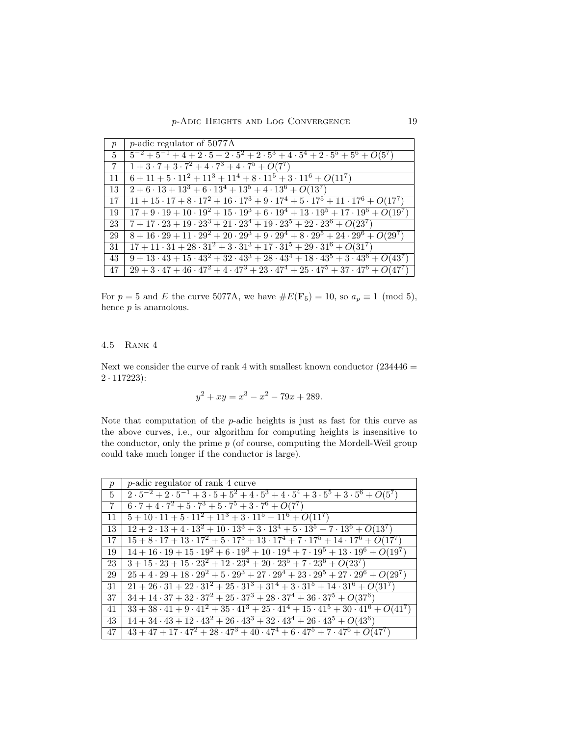| p               | <i>p</i> -adic regulator of $5077A$                                                                        |
|-----------------|------------------------------------------------------------------------------------------------------------|
|                 | $5\left[5^{-2}+5^{-1}+4+2\cdot 5+2\cdot 5^2+2\cdot 5^3+4\cdot 5^4+2\cdot 5^5+5^6+O(5^7)\right]$            |
| $7\phantom{.0}$ | $1+3\cdot7+3\cdot7^2+4\cdot7^3+4\cdot7^5+O(7^7)$                                                           |
| -11             | $6+11+5\cdot 11^2+11^3+11^4+8\cdot 11^5+3\cdot 11^6+O(11^7)$                                               |
| 13              | $2+6\cdot 13+13^3+6\cdot 13^4+13^5+4\cdot 13^6+O(13^7)$                                                    |
| 17              | $11 + 15 \cdot 17 + 8 \cdot 17^2 + 16 \cdot 17^3 + 9 \cdot 17^4 + 5 \cdot 17^5 + 11 \cdot 17^6 + O(17^7)$  |
| -19             | $17 + 9 \cdot 19 + 10 \cdot 19^2 + 15 \cdot 19^3 + 6 \cdot 19^4 + 13 \cdot 19^5 + 17 \cdot 19^6 + O(19^7)$ |
| 23              | $7+17\cdot 23+19\cdot 23^3+21\cdot 23^4+19\cdot 23^5+22\cdot 23^6+O(23^7)$                                 |
| 29              | $8+16\cdot 29 + 11\cdot 29^2 + 20\cdot 29^3 + 9\cdot 29^4 + 8\cdot 29^5 + 24\cdot 29^6 + O(29^7)$          |
| 31              | $17 + 11 \cdot 31 + 28 \cdot 31^2 + 3 \cdot 31^3 + 17 \cdot 31^5 + 29 \cdot 31^6 + O(31^7)$                |
| 43              | $9+13\cdot 43+15\cdot 43^2+32\cdot 43^3+28\cdot 43^4+18\cdot 43^5+3\cdot 43^6+O(43^7)$                     |
| 47              | $29 + 3 \cdot 47 + 46 \cdot 47^2 + 4 \cdot 47^3 + 23 \cdot 47^4 + 25 \cdot 47^5 + 37 \cdot 47^6 + O(47^7)$ |

For  $p = 5$  and E the curve 5077A, we have  $\#E(\mathbf{F}_5) = 10$ , so  $a_p \equiv 1 \pmod{5}$ , hence  $p$  is anamolous.

# 4.5 Rank 4

Next we consider the curve of rank 4 with smallest known conductor  $(234446 =$ 2 · 117223):

$$
y^2 + xy = x^3 - x^2 - 79x + 289.
$$

Note that computation of the p-adic heights is just as fast for this curve as the above curves, i.e., our algorithm for computing heights is insensitive to the conductor, only the prime  $p$  (of course, computing the Mordell-Weil group could take much longer if the conductor is large).

| p           | <i>p</i> -adic regulator of rank 4 curve                                                                                         |
|-------------|----------------------------------------------------------------------------------------------------------------------------------|
| $5^{\circ}$ | $2 \cdot 5^{-2} + 2 \cdot 5^{-1} + 3 \cdot 5 + 5^{2} + 4 \cdot 5^{3} + 4 \cdot 5^{4} + 3 \cdot 5^{5} + 3 \cdot 5^{6} + O(5^{7})$ |
| 7           | $6 \cdot 7 + 4 \cdot 7^2 + 5 \cdot 7^3 + 5 \cdot 7^5 + 3 \cdot 7^6 + O(7^7)$                                                     |
| 11          | $5+10\cdot 11+5\cdot 11^2+11^3+3\cdot 11^5+11^6+O(11^7)$                                                                         |
| 13          | $12 + 2 \cdot 13 + 4 \cdot 13^2 + 10 \cdot 13^3 + 3 \cdot 13^4 + 5 \cdot 13^5 + 7 \cdot 13^6 + O(13^7)$                          |
| 17          | $15 + 8 \cdot 17 + 13 \cdot \overline{17^2 + 5 \cdot 17^3 + 13 \cdot 17^4 + 7 \cdot 17^5 + 14 \cdot 17^6 + O(17^7)}$             |
| 19          | $14+16\cdot 19+15\cdot 19^2+6\cdot 19^3+10\cdot 19^4+7\cdot 19^5+13\cdot 19^6+O(19^7)$                                           |
| 23          | $3+15\cdot 23+15\cdot 23^2+12\cdot 23^4+20\cdot 23^5+7\cdot 23^6+O(23^7)$                                                        |
| 29          | $25 + 4 \cdot 29 + 18 \cdot 29^2 + 5 \cdot 29^3 + 27 \cdot 29^4 + 23 \cdot 29^5 + 27 \cdot 29^6 + O(29^7)$                       |
| 31          | $21 + 26 \cdot 31 + 22 \cdot 31^2 + 25 \cdot 31^3 + 31^4 + 3 \cdot 31^5 + 14 \cdot 31^6 + O(31^7)$                               |
| 37          | $34 + 14 \cdot 37 + 32 \cdot 37^2 + 25 \cdot 37^3 + 28 \cdot 37^4 + 36 \cdot 37^5 + O(37^6)$                                     |
| 41          | $33 + 38 \cdot 41 + 9 \cdot 41^2 + 35 \cdot 41^3 + 25 \cdot 41^4 + 15 \cdot 41^5 + 30 \cdot 41^6 + O(41^7)$                      |
| 43          | $14 + 34 \cdot 43 + 12 \cdot 43^2 + 26 \cdot 43^3 + 32 \cdot 43^4 + 26 \cdot 43^5 + O(43^6)$                                     |
| 47          | $43 + 47 + 17 \cdot 47^2 + 28 \cdot 47^3 + 40 \cdot 47^4 + 6 \cdot 47^5 + 7 \cdot 47^6 + O(47^7)$                                |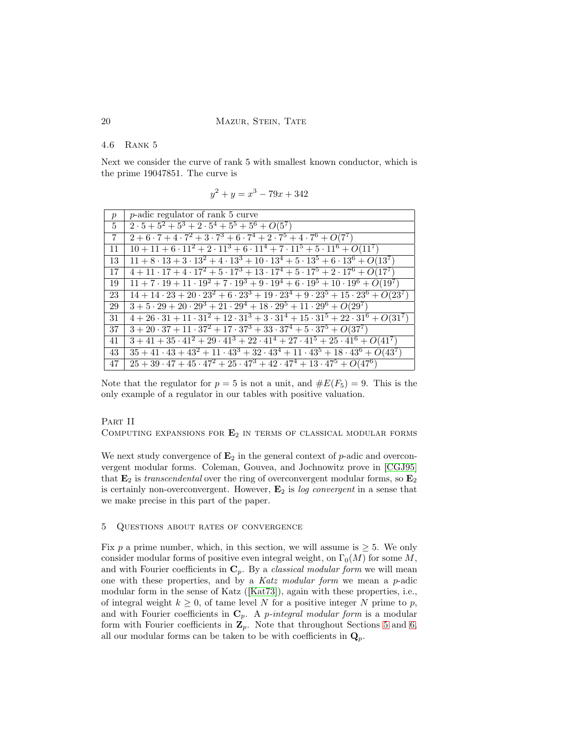#### 20 MAZUR, STEIN, TATE

## 4.6 Rank 5

Next we consider the curve of rank 5 with smallest known conductor, which is the prime 19047851. The curve is

$$
y^2 + y = x^3 - 79x + 342
$$

| $\boldsymbol{p}$ | $p$ -adic regulator of rank 5 curve                                                                                |
|------------------|--------------------------------------------------------------------------------------------------------------------|
| $5^{\circ}$      | $2 \cdot 5 + 5^2 + 5^3 + 2 \cdot 5^4 + 5^5 + 5^6 + O(5^7)$                                                         |
| $\overline{7}$   | $2+6\cdot7+4\cdot7^2+3\cdot7^3+6\cdot7^4+2\cdot7^5+4\cdot7^6+O(7^7)$                                               |
| 11               | $10 + 11 + 6 \cdot 11^2 + 2 \cdot 11^3 + 6 \cdot 11^4 + 7 \cdot 11^5 + 5 \cdot 11^6 + O(11^7)$                     |
| 13               | $11 + 8 \cdot 13 + 3 \cdot \overline{13^2 + 4 \cdot 13^3 + 10 \cdot 13^4 + 5 \cdot 13^5 + 6 \cdot 13^6 + O(13^7)}$ |
| 17               | $4+11\cdot17+4\cdot17^2+5\cdot17^3+13\cdot17^4+5\cdot17^5+2\cdot17^6+O(17^7)$                                      |
| 19               | $11 + 7 \cdot 19 + 11 \cdot 19^2 + 7 \cdot 19^3 + 9 \cdot 19^4 + 6 \cdot 19^5 + 10 \cdot 19^6 + O(19^7)$           |
| 23               | $14+14\cdot 23+20\cdot 23^2+6\cdot 23^3+19\cdot 23^4+9\cdot 23^5+15\cdot 23^6+O(23^7)$                             |
| 29               | $3+5\cdot 29+20\cdot 29^3+21\cdot 29^4+18\cdot 29^5+11\cdot 29^6+O(29^7)$                                          |
| 31               | $4+26\cdot 31 + 11\cdot 31^2 + 12\cdot 31^3 + 3\cdot 31^4 + 15\cdot 31^5 + 22\cdot 31^6 + O(31^7)$                 |
| 37               | $3 + 20 \cdot 37 + 11 \cdot 37^2 + 17 \cdot 37^3 + 33 \cdot 37^4 + 5 \cdot 37^5 + O(37^7)$                         |
| 41               | $3 + 41 + 35 \cdot 41^2 + 29 \cdot 41^3 + 22 \cdot 41^4 + 27 \cdot 41^5 + 25 \cdot 41^6 + O(41^7)$                 |
| 43               | $35 + 41 \cdot 43 + 43^2 + 11 \cdot 43^3 + 32 \cdot 43^4 + 11 \cdot 43^5 + 18 \cdot 43^6 + O(43^7)$                |
| 47               | $25+39\cdot47+45\cdot47^2+25\cdot47^3+42\cdot47^4+13\cdot47^5+O(47^6)$                                             |

Note that the regulator for  $p = 5$  is not a unit, and  $\#E(F_5) = 9$ . This is the only example of a regulator in our tables with positive valuation.

### PART II

COMPUTING EXPANSIONS FOR  $E_2$  in terms of classical modular forms

We next study convergence of  $\mathbf{E}_2$  in the general context of p-adic and overconvergent modular forms. Coleman, Gouvea, and Jochnowitz prove in [\[CGJ95\]](#page-33-9) that  $\mathbf{E}_2$  is transcendental over the ring of overconvergent modular forms, so  $\mathbf{E}_2$ is certainly non-overconvergent. However,  $\mathbf{E}_2$  is log convergent in a sense that we make precise in this part of the paper.

# <span id="page-19-0"></span>5 Questions about rates of convergence

Fix p a prime number, which, in this section, we will assume is  $\geq 5$ . We only consider modular forms of positive even integral weight, on  $\Gamma_0(M)$  for some M, and with Fourier coefficients in  $\mathbf{C}_p$ . By a *classical modular form* we will mean one with these properties, and by a Katz modular form we mean a  $p$ -adic modular form in the sense of Katz ([\[Kat73\]](#page-33-4)), again with these properties, i.e., of integral weight  $k \geq 0$ , of tame level N for a positive integer N prime to p, and with Fourier coefficients in  $C_p$ . A *p*-integral modular form is a modular form with Fourier coefficients in  $\mathbf{Z}_p$ . Note that throughout Sections [5](#page-19-0) and [6,](#page-26-0) all our modular forms can be taken to be with coefficients in  $\mathbf{Q}_p$ .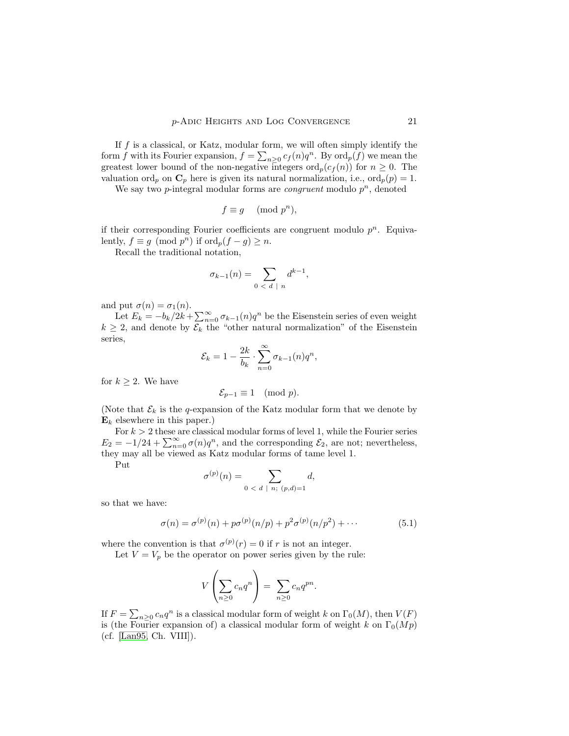If  $f$  is a classical, or Katz, modular form, we will often simply identify the form f with its Fourier expansion,  $f = \sum_{n\geq 0} c_f(n)q^n$ . By  $\text{ord}_p(f)$  we mean the greatest lower bound of the non-negative integers  $\text{ord}_p(c_f(n))$  for  $n \geq 0$ . The valuation ord<sub>p</sub> on  $\mathbf{C}_p$  here is given its natural normalization, i.e., ord<sub>p</sub> $(p) = 1$ .

We say two  $p$ -integral modular forms are *congruent* modulo  $p^n$ , denoted

$$
f \equiv g \pmod{p^n},
$$

if their corresponding Fourier coefficients are congruent modulo  $p^n$ . Equivalently,  $f \equiv g \pmod{p^n}$  if  $\text{ord}_p(f - g) \geq n$ .

Recall the traditional notation,

$$
\sigma_{k-1}(n) = \sum_{0 < d \mid n} d^{k-1},
$$

and put  $\sigma(n) = \sigma_1(n)$ .

Let  $E_k = -b_k/2k + \sum_{n=0}^{\infty} \sigma_{k-1}(n)q^n$  be the Eisenstein series of even weight  $k \geq 2$ , and denote by  $\mathcal{E}_k$  the "other natural normalization" of the Eisenstein series,

$$
\mathcal{E}_k = 1 - \frac{2k}{b_k} \cdot \sum_{n=0}^{\infty} \sigma_{k-1}(n) q^n,
$$

for  $k \geq 2$ . We have

$$
\mathcal{E}_{p-1} \equiv 1 \pmod{p}.
$$

(Note that  $\mathcal{E}_k$  is the q-expansion of the Katz modular form that we denote by  $\mathbf{E}_k$  elsewhere in this paper.)

For  $k > 2$  these are classical modular forms of level 1, while the Fourier series  $E_2 = -1/24 + \sum_{n=0}^{\infty} \sigma(n)q^n$ , and the corresponding  $\mathcal{E}_2$ , are not; nevertheless, they may all be viewed as Katz modular forms of tame level 1.

Put

$$
\sigma^{(p)}(n) = \sum_{0 \; < \; d \; | \; n; \; (p,d)=1} d,
$$

<span id="page-20-0"></span>so that we have:

$$
\sigma(n) = \sigma^{(p)}(n) + p\sigma^{(p)}(n/p) + p^2 \sigma^{(p)}(n/p^2) + \cdots
$$
\n(5.1)

where the convention is that  $\sigma^{(p)}(r) = 0$  if r is not an integer.

Let  $V = V_p$  be the operator on power series given by the rule:

$$
V\left(\sum_{n\geq 0}c_nq^n\right)=\sum_{n\geq 0}c_nq^{pn}.
$$

If  $F = \sum_{n\geq 0} c_n q^n$  is a classical modular form of weight k on  $\Gamma_0(M)$ , then  $V(F)$ is (the Fourier expansion of) a classical modular form of weight k on  $\Gamma_0(Mp)$ (cf. [\[Lan95,](#page-34-10) Ch. VIII]).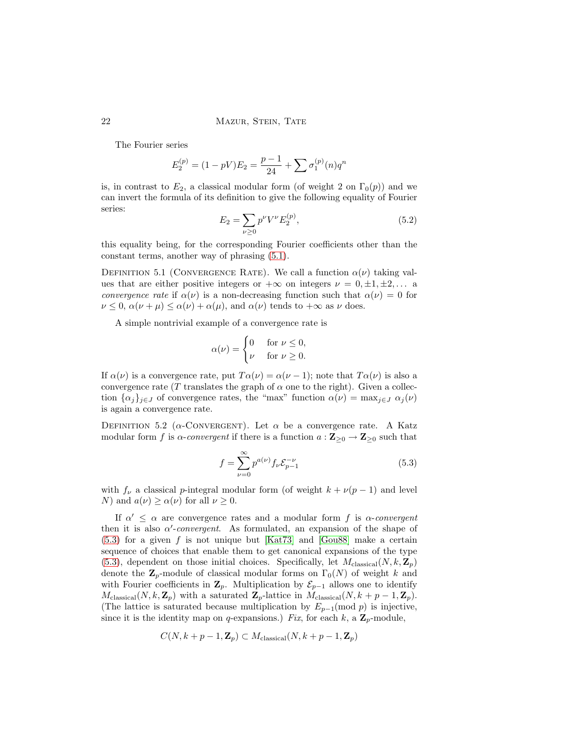## 22 MAZUR, STEIN, TATE

The Fourier series

$$
E_2^{(p)} = (1 - pV)E_2 = \frac{p - 1}{24} + \sum \sigma_1^{(p)}(n)q^n
$$

is, in contrast to  $E_2$ , a classical modular form (of weight 2 on  $\Gamma_0(p)$ ) and we can invert the formula of its definition to give the following equality of Fourier series:

$$
E_2 = \sum_{\nu \ge 0} p^{\nu} V^{\nu} E_2^{(p)},\tag{5.2}
$$

<span id="page-21-1"></span>this equality being, for the corresponding Fourier coefficients other than the constant terms, another way of phrasing [\(5.1\)](#page-20-0).

DEFINITION 5.1 (CONVERGENCE RATE). We call a function  $\alpha(\nu)$  taking values that are either positive integers or  $+\infty$  on integers  $\nu = 0, \pm 1, \pm 2, \ldots$  a *convergence rate* if  $\alpha(\nu)$  is a non-decreasing function such that  $\alpha(\nu) = 0$  for  $\nu \leq 0$ ,  $\alpha(\nu + \mu) \leq \alpha(\nu) + \alpha(\mu)$ , and  $\alpha(\nu)$  tends to  $+\infty$  as  $\nu$  does.

A simple nontrivial example of a convergence rate is

$$
\alpha(\nu) = \begin{cases} 0 & \text{for } \nu \le 0, \\ \nu & \text{for } \nu \ge 0. \end{cases}
$$

If  $\alpha(\nu)$  is a convergence rate, put  $T\alpha(\nu) = \alpha(\nu - 1)$ ; note that  $T\alpha(\nu)$  is also a convergence rate (T translates the graph of  $\alpha$  one to the right). Given a collection  $\{\alpha_j\}_{j\in J}$  of convergence rates, the "max" function  $\alpha(\nu) = \max_{j\in J} \alpha_j(\nu)$ is again a convergence rate.

DEFINITION 5.2 ( $\alpha$ -CONVERGENT). Let  $\alpha$  be a convergence rate. A Katz modular form f is  $\alpha$ -convergent if there is a function  $a: \mathbb{Z}_{\geq 0} \to \mathbb{Z}_{\geq 0}$  such that

<span id="page-21-0"></span>
$$
f = \sum_{\nu=0}^{\infty} p^{a(\nu)} f_{\nu} \mathcal{E}_{p-1}^{-\nu}
$$
 (5.3)

with  $f_{\nu}$  a classical p-integral modular form (of weight  $k + \nu(p-1)$ ) and level N) and  $a(\nu) \ge \alpha(\nu)$  for all  $\nu \ge 0$ .

If  $\alpha' \leq \alpha$  are convergence rates and a modular form f is  $\alpha$ -convergent then it is also  $\alpha'$ -convergent. As formulated, an expansion of the shape of  $(5.3)$  for a given f is not unique but [\[Kat73\]](#page-33-4) and [\[Gou88\]](#page-33-10) make a certain sequence of choices that enable them to get canonical expansions of the type [\(5.3\)](#page-21-0), dependent on those initial choices. Specifically, let  $M_{\text{classical}}(N,k,\mathbf{Z}_p)$ denote the  $\mathbb{Z}_p$ -module of classical modular forms on  $\Gamma_0(N)$  of weight k and with Fourier coefficients in  $\mathbf{Z}_p$ . Multiplication by  $\mathcal{E}_{p-1}$  allows one to identify  $M_{\text{classical}}(N,k,\mathbf{Z}_p)$  with a saturated  $\mathbf{Z}_p$ -lattice in  $M_{\text{classical}}(N,k+p-1,\mathbf{Z}_p)$ . (The lattice is saturated because multiplication by  $E_{p-1}(\text{mod } p)$  is injective, since it is the identity map on q-expansions.) Fix, for each k, a  $\mathbb{Z}_p$ -module,

$$
C(N, k + p - 1, \mathbf{Z}_p) \subset M_{\text{classical}}(N, k + p - 1, \mathbf{Z}_p)
$$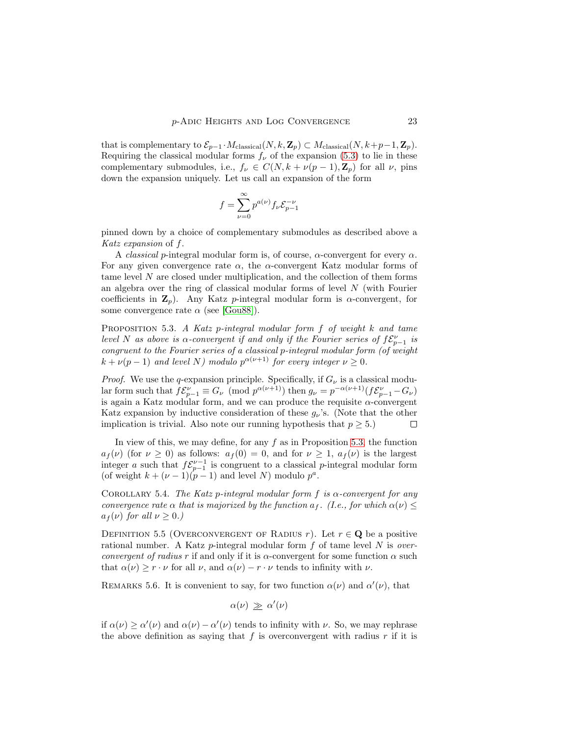that is complementary to  $\mathcal{E}_{p-1} \cdot M_{\text{classical}}(N, k, \mathbf{Z}_p) \subset M_{\text{classical}}(N, k+p-1, \mathbf{Z}_p).$ Requiring the classical modular forms  $f_{\nu}$  of the expansion [\(5.3\)](#page-21-0) to lie in these complementary submodules, i.e.,  $f_{\nu} \in C(N, k + \nu(p-1), \mathbb{Z}_p)$  for all  $\nu$ , pins down the expansion uniquely. Let us call an expansion of the form

$$
f = \sum_{\nu=0}^{\infty} p^{a(\nu)} f_{\nu} \mathcal{E}_{p-1}^{-\nu}
$$

pinned down by a choice of complementary submodules as described above a Katz expansion of f.

A *classical* p-integral modular form is, of course,  $\alpha$ -convergent for every  $\alpha$ . For any given convergence rate  $\alpha$ , the  $\alpha$ -convergent Katz modular forms of tame level N are closed under multiplication, and the collection of them forms an algebra over the ring of classical modular forms of level N (with Fourier coefficients in  $\mathbf{Z}_p$ ). Any Katz p-integral modular form is  $\alpha$ -convergent, for some convergence rate  $\alpha$  (see [\[Gou88\]](#page-33-10)).

<span id="page-22-0"></span>PROPOSITION 5.3. A Katz p-integral modular form f of weight k and tame level N as above is  $\alpha$ -convergent if and only if the Fourier series of  $f{\mathcal{E}}_{p-1}^\nu$  is congruent to the Fourier series of a classical p-integral modular form (of weight  $k + \nu(p-1)$  and level N) modulo  $p^{\alpha(\nu+1)}$  for every integer  $\nu \geq 0$ .

*Proof.* We use the q-expansion principle. Specifically, if  $G_{\nu}$  is a classical modular form such that  $f\mathcal{E}_{p-1}^{\nu} \equiv G_{\nu} \pmod{p^{\alpha(\nu+1)}}$  then  $g_{\nu} = p^{-\alpha(\nu+1)}(f\mathcal{E}_{p-1}^{\nu} - G_{\nu})$ is again a Katz modular form, and we can produce the requisite  $\alpha$ -convergent Katz expansion by inductive consideration of these  $g_{\nu}$ 's. (Note that the other implication is trivial. Also note our running hypothesis that  $p \geq 5$ .) □

In view of this, we may define, for any  $f$  as in Proposition [5.3,](#page-22-0) the function  $a_f(\nu)$  (for  $\nu \geq 0$ ) as follows:  $a_f(0) = 0$ , and for  $\nu \geq 1$ ,  $a_f(\nu)$  is the largest integer a such that  $f \mathcal{E}_{p-1}^{\nu-1}$  is congruent to a classical p-integral modular form (of weight  $k + (\nu - 1)(p - 1)$  and level N) modulo  $p^a$ .

COROLLARY 5.4. The Katz p-integral modular form f is  $\alpha$ -convergent for any convergence rate  $\alpha$  that is majorized by the function  $a_f$ . (I.e., for which  $\alpha(\nu) \leq$  $a_f(\nu)$  for all  $\nu \geq 0$ .)

DEFINITION 5.5 (OVERCONVERGENT OF RADIUS r). Let  $r \in \mathbf{Q}$  be a positive rational number. A Katz p-integral modular form  $f$  of tame level  $N$  is *over*convergent of radius r if and only if it is  $\alpha$ -convergent for some function  $\alpha$  such that  $\alpha(\nu) \geq r \cdot \nu$  for all  $\nu$ , and  $\alpha(\nu) - r \cdot \nu$  tends to infinity with  $\nu$ .

REMARKS 5.6. It is convenient to say, for two function  $\alpha(\nu)$  and  $\alpha'(\nu)$ , that

$$
\alpha(\nu) \, \geq \, \alpha'(\nu)
$$

if  $\alpha(\nu) \ge \alpha'(\nu)$  and  $\alpha(\nu) - \alpha'(\nu)$  tends to infinity with  $\nu$ . So, we may rephrase the above definition as saying that  $f$  is overconvergent with radius  $r$  if it is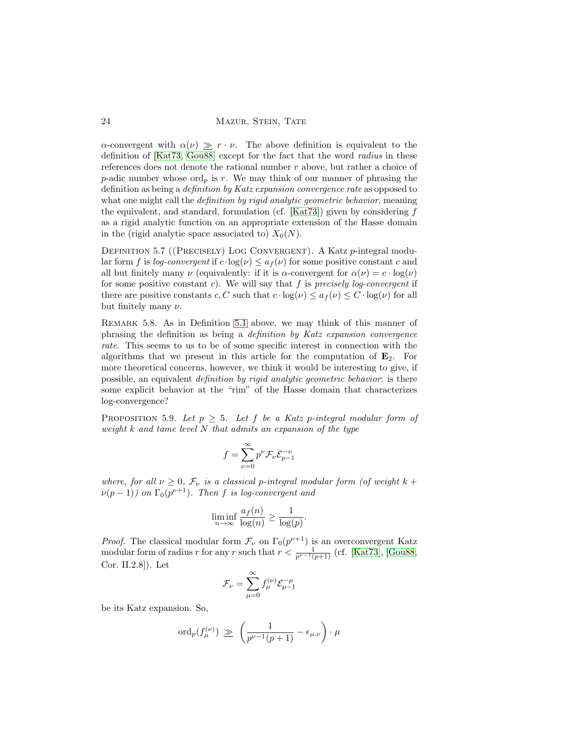24 MAZUR, STEIN, TATE

α-convergent with  $\alpha(\nu) \geq r \cdot \nu$ . The above definition is equivalent to the definition of [\[Kat73,](#page-33-4) [Gou88\]](#page-33-10) except for the fact that the word radius in these references does not denote the rational number  $r$  above, but rather a choice of p-adic number whose ord<sub>p</sub> is r. We may think of our manner of phrasing the definition as being a definition by Katz expansion convergence rate as opposed to what one might call the *definition by rigid analytic geometric behavior*, meaning the equivalent, and standard, formulation (cf. [\[Kat73\]](#page-33-4)) given by considering  $f$ as a rigid analytic function on an appropriate extension of the Hasse domain in the (rigid analytic space associated to)  $X_0(N)$ .

<span id="page-23-1"></span>DEFINITION 5.7 ((PRECISELY) LOG CONVERGENT). A Katz p-integral modular form f is log-convergent if  $c \cdot \log(\nu) \leq a_f(\nu)$  for some positive constant c and all but finitely many  $\nu$  (equivalently: if it is  $\alpha$ -convergent for  $\alpha(\nu) = c \cdot \log(\nu)$ ) for some positive constant c). We will say that f is precisely log-convergent if there are positive constants c, C such that  $c \cdot \log(\nu) \leq a_f(\nu) \leq C \cdot \log(\nu)$  for all but finitely many  $\nu$ .

Remark 5.8. As in Definition [5.1](#page-21-1) above, we may think of this manner of phrasing the definition as being a definition by Katz expansion convergence rate. This seems to us to be of some specific interest in connection with the algorithms that we present in this article for the computation of  $E_2$ . For more theoretical concerns, however, we think it would be interesting to give, if possible, an equivalent definition by rigid analytic geometric behavior: is there some explicit behavior at the "rim" of the Hasse domain that characterizes log-convergence?

<span id="page-23-0"></span>PROPOSITION 5.9. Let  $p \geq 5$ . Let f be a Katz p-integral modular form of weight  $k$  and tame level  $N$  that admits an expansion of the type

$$
f = \sum_{\nu=0}^{\infty} p^{\nu} \mathcal{F}_{\nu} \mathcal{E}_{p-1}^{-\nu}
$$

where, for all  $\nu \geq 0$ ,  $\mathcal{F}_{\nu}$  is a classical p-integral modular form (of weight  $k +$  $\nu(p-1)$ ) on  $\Gamma_0(p^{\nu+1})$ . Then f is log-convergent and

$$
\liminf_{n \to \infty} \frac{a_f(n)}{\log(n)} \ge \frac{1}{\log(p)}.
$$

*Proof.* The classical modular form  $\mathcal{F}_{\nu}$  on  $\Gamma_0(p^{\nu+1})$  is an overconvergent Katz modular form of radius r for any r such that  $r < \frac{1}{p^{\nu-1}(p+1)}$  (cf. [\[Kat73\]](#page-33-4), [\[Gou88,](#page-33-10) Cor. II.2.8]). Let

$$
\mathcal{F}_{\nu} = \sum_{\mu=0}^{\infty} f_{\mu}^{(\nu)} \mathcal{E}_{p-1}^{-\mu}
$$

be its Katz expansion. So,

$$
\mathrm{ord}_p(f_\mu^{(\nu)}) \, \geq \, \left( \frac{1}{p^{\nu-1}(p+1)} - \epsilon_{\mu,\nu} \right) \cdot \mu
$$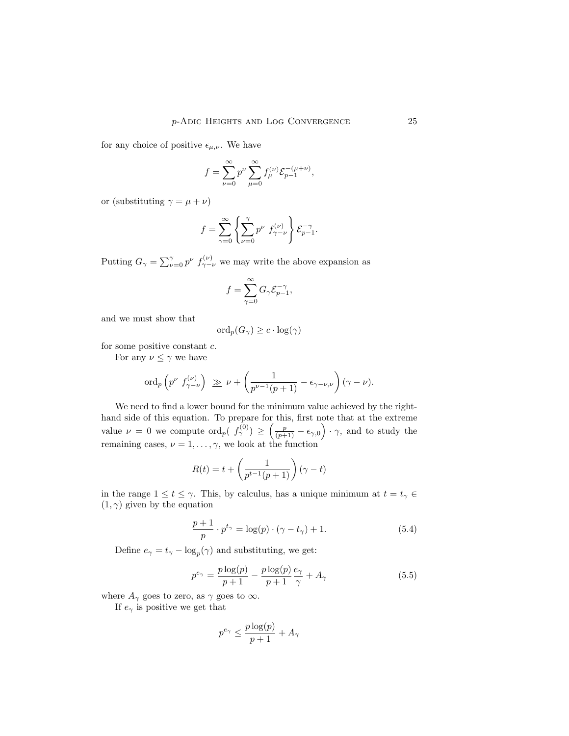for any choice of positive  $\epsilon_{\mu,\nu}$ . We have

$$
f = \sum_{\nu=0}^{\infty} p^{\nu} \sum_{\mu=0}^{\infty} f_{\mu}^{(\nu)} \mathcal{E}_{p-1}^{-(\mu+\nu)},
$$

or (substituting  $\gamma = \mu + \nu$ )

$$
f = \sum_{\gamma=0}^{\infty} \left\{ \sum_{\nu=0}^{\gamma} p^{\nu} f_{\gamma-\nu}^{(\nu)} \right\} \mathcal{E}_{p-1}^{-\gamma}.
$$

Putting  $G_{\gamma} = \sum_{\nu=0}^{\gamma} p^{\nu} f_{\gamma-\nu}^{(\nu)}$  we may write the above expansion as

$$
f=\sum_{\gamma=0}^{\infty}G_{\gamma}\mathcal{E}_{p-1}^{-\gamma},
$$

and we must show that

$$
\mathrm{ord}_p(G_\gamma) \geq c \cdot \log(\gamma)
$$

for some positive constant c.

For any  $\nu \leq \gamma$  we have

$$
\operatorname{ord}_p\left(p^{\nu} f_{\gamma-\nu}^{(\nu)}\right) \geq \nu + \left(\frac{1}{p^{\nu-1}(p+1)} - \epsilon_{\gamma-\nu,\nu}\right)(\gamma-\nu).
$$

We need to find a lower bound for the minimum value achieved by the righthand side of this equation. To prepare for this, first note that at the extreme value  $\nu = 0$  we compute  $\text{ord}_p(\begin{array}{c} f^{(0)}_{\gamma} \end{array}) \geq \left( \frac{p}{(p+1)} - \epsilon_{\gamma,0} \right) \cdot \gamma$ , and to study the remaining cases,  $\nu = 1, \ldots, \gamma$ , we look at the function

$$
R(t) = t + \left(\frac{1}{p^{t-1}(p+1)}\right)(\gamma - t)
$$

in the range  $1 \le t \le \gamma$ . This, by calculus, has a unique minimum at  $t = t_{\gamma} \in$  $(1, \gamma)$  given by the equation

$$
\frac{p+1}{p} \cdot p^{t_{\gamma}} = \log(p) \cdot (\gamma - t_{\gamma}) + 1.
$$
 (5.4)

Define  $e_{\gamma} = t_{\gamma} - \log_p(\gamma)$  and substituting, we get:

$$
p^{e_{\gamma}} = \frac{p \log(p)}{p+1} - \frac{p \log(p)}{p+1} \frac{e_{\gamma}}{\gamma} + A_{\gamma}
$$
 (5.5)

where  $A_{\gamma}$  goes to zero, as  $\gamma$  goes to  $\infty$ .

If  $e_{\gamma}$  is positive we get that

$$
p^{e_{\gamma}} \le \frac{p \log(p)}{p+1} + A_{\gamma}
$$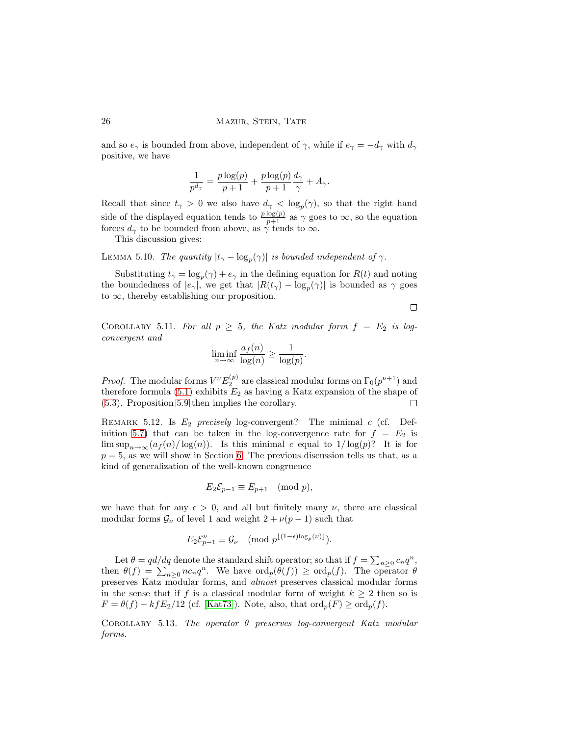and so  $e_\gamma$  is bounded from above, independent of  $\gamma$ , while if  $e_\gamma = -d_\gamma$  with  $d_\gamma$ positive, we have

$$
\frac{1}{p^{d_{\gamma}}} = \frac{p \log(p)}{p+1} + \frac{p \log(p)}{p+1} \frac{d_{\gamma}}{\gamma} + A_{\gamma}.
$$

Recall that since  $t_{\gamma} > 0$  we also have  $d_{\gamma} < \log_p(\gamma)$ , so that the right hand side of the displayed equation tends to  $\frac{p \log(p)}{p+1}$  as  $\gamma$  goes to  $\infty$ , so the equation forces  $d_{\gamma}$  to be bounded from above, as  $\gamma$  tends to  $\infty$ .

This discussion gives:

LEMMA 5.10. The quantity  $|t_{\gamma} - \log_p(\gamma)|$  is bounded independent of  $\gamma$ .

Substituting  $t_{\gamma} = \log_p(\gamma) + e_{\gamma}$  in the defining equation for  $R(t)$  and noting the boundedness of  $|e_{\gamma}|$ , we get that  $|R(t_{\gamma}) - \log_p(\gamma)|$  is bounded as  $\gamma$  goes to  $\infty$ , thereby establishing our proposition.

 $\Box$ 

<span id="page-25-0"></span>COROLLARY 5.11. For all  $p \geq 5$ , the Katz modular form  $f = E_2$  is logconvergent and

$$
\liminf_{n \to \infty} \frac{a_f(n)}{\log(n)} \ge \frac{1}{\log(p)}.
$$

*Proof.* The modular forms  $V^{\nu}E_2^{(p)}$  are classical modular forms on  $\Gamma_0(p^{\nu+1})$  and therefore formula [\(5.1\)](#page-20-0) exhibits  $E_2$  as having a Katz expansion of the shape of [\(5.3\)](#page-21-0). Proposition [5.9](#page-23-0) then implies the corollary.  $\Box$ 

REMARK 5.12. Is  $E_2$  precisely log-convergent? The minimal c (cf. Def-inition [5.7\)](#page-23-1) that can be taken in the log-convergence rate for  $f = E_2$  is lim  $\sup_{n\to\infty} (a_f(n)/\log(n))$ . Is this minimal c equal to  $1/\log(p)$ ? It is for  $p = 5$ , as we will show in Section [6.](#page-26-0) The previous discussion tells us that, as a kind of generalization of the well-known congruence

$$
E_2 \mathcal{E}_{p-1} \equiv E_{p+1} \pmod{p},
$$

we have that for any  $\epsilon > 0$ , and all but finitely many  $\nu$ , there are classical modular forms  $\mathcal{G}_{\nu}$  of level 1 and weight  $2 + \nu(p-1)$  such that

$$
E_2 \mathcal{E}_{p-1}^{\nu} \equiv \mathcal{G}_{\nu} \pmod{p^{\lfloor (1-\epsilon)\log_p(\nu)\rfloor}}.
$$

Let  $\theta = \frac{qd}{dq}$  denote the standard shift operator; so that if  $f = \sum_{n \geq 0} c_n q^n$ , then  $\theta(f) = \sum_{n\geq 0} n c_n q^n$ . We have  $\text{ord}_p(\theta(f)) \geq \text{ord}_p(f)$ . The operator  $\theta$ preserves Katz modular forms, and almost preserves classical modular forms in the sense that if f is a classical modular form of weight  $k \geq 2$  then so is  $F = \theta(f) - kfE_2/12$  (cf. [\[Kat73\]](#page-33-4)). Note, also, that  $\text{ord}_p(F) \geq \text{ord}_p(f)$ .

COROLLARY 5.13. The operator  $\theta$  preserves log-convergent Katz modular forms.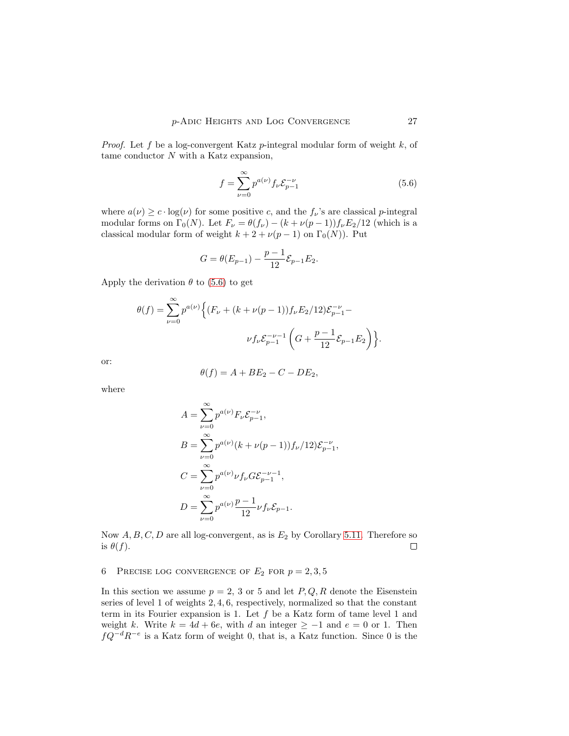*Proof.* Let f be a log-convergent Katz  $p$ -integral modular form of weight k, of tame conductor N with a Katz expansion,

<span id="page-26-1"></span>
$$
f = \sum_{\nu=0}^{\infty} p^{a(\nu)} f_{\nu} \mathcal{E}_{p-1}^{-\nu}
$$
 (5.6)

where  $a(\nu) \geq c \cdot \log(\nu)$  for some positive c, and the  $f_{\nu}$ 's are classical p-integral modular forms on  $\Gamma_0(N)$ . Let  $F_\nu = \theta(f_\nu) - (k + \nu(p-1))f_\nu E_2/12$  (which is a classical modular form of weight  $k + 2 + \nu(p - 1)$  on  $\Gamma_0(N)$ ). Put

$$
G = \theta(E_{p-1}) - \frac{p-1}{12} \mathcal{E}_{p-1} E_2.
$$

Apply the derivation  $\theta$  to [\(5.6\)](#page-26-1) to get

$$
\theta(f) = \sum_{\nu=0}^{\infty} p^{a(\nu)} \Big\{ (F_{\nu} + (k + \nu(p-1)) f_{\nu} E_2 / 12) \mathcal{E}_{p-1}^{-\nu} - \nu f_{\nu} \mathcal{E}_{p-1}^{-\nu-1} \left( G + \frac{p-1}{12} \mathcal{E}_{p-1} E_2 \right) \Big\}.
$$

or:

$$
\theta(f) = A + BE_2 - C - DE_2,
$$

where

$$
A = \sum_{\nu=0}^{\infty} p^{a(\nu)} F_{\nu} \mathcal{E}_{p-1}^{-\nu},
$$
  
\n
$$
B = \sum_{\nu=0}^{\infty} p^{a(\nu)} (k + \nu(p-1)) f_{\nu} / 12) \mathcal{E}_{p-1}^{-\nu},
$$
  
\n
$$
C = \sum_{\nu=0}^{\infty} p^{a(\nu)} \nu f_{\nu} G \mathcal{E}_{p-1}^{-\nu-1},
$$
  
\n
$$
D = \sum_{\nu=0}^{\infty} p^{a(\nu)} \frac{p-1}{12} \nu f_{\nu} \mathcal{E}_{p-1}.
$$

Now  $A, B, C, D$  are all log-convergent, as is  $E_2$  by Corollary [5.11.](#page-25-0) Therefore so is  $\theta(f)$ .  $\Box$ 

<span id="page-26-0"></span>6 PRECISE LOG CONVERGENCE OF  $E_2$  for  $p = 2, 3, 5$ 

In this section we assume  $p = 2, 3$  or 5 and let  $P, Q, R$  denote the Eisenstein series of level 1 of weights 2, 4, 6, respectively, normalized so that the constant term in its Fourier expansion is 1. Let  $f$  be a Katz form of tame level 1 and weight k. Write  $k = 4d + 6e$ , with d an integer  $\geq -1$  and  $e = 0$  or 1. Then  $fQ^{-d}R^{-e}$  is a Katz form of weight 0, that is, a Katz function. Since 0 is the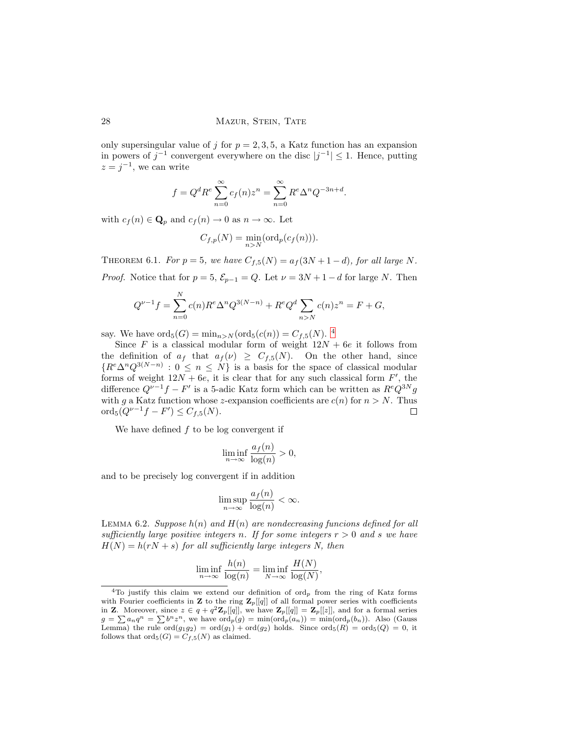only supersingular value of j for  $p = 2, 3, 5$ , a Katz function has an expansion in powers of  $j^{-1}$  convergent everywhere on the disc  $|j^{-1}| \leq 1$ . Hence, putting  $z = j^{-1}$ , we can write

$$
f = Qd Re \sum_{n=0}^{\infty} c_f(n) z^n = \sum_{n=0}^{\infty} R^e \Delta^n Q^{-3n+d}.
$$

with  $c_f(n) \in \mathbf{Q}_p$  and  $c_f(n) \to 0$  as  $n \to \infty$ . Let

$$
C_{f,p}(N) = \min_{n>N} (\text{ord}_p(c_f(n))).
$$

<span id="page-27-1"></span>THEOREM 6.1. For  $p = 5$ , we have  $C_{f,5}(N) = a_f(3N + 1 - d)$ , for all large N. *Proof.* Notice that for  $p = 5$ ,  $\mathcal{E}_{p-1} = Q$ . Let  $\nu = 3N + 1 - d$  for large N. Then

$$
Q^{\nu-1}f = \sum_{n=0}^{N} c(n)R^{e} \Delta^{n} Q^{3(N-n)} + R^{e} Q^{d} \sum_{n>N} c(n) z^{n} = F + G,
$$

say. We have  $\text{ord}_5(G) = \min_{n > N} (\text{ord}_5(c(n)) = C_{f,5}(N)$ . <sup>[4](#page-27-0)</sup>

Since F is a classical modular form of weight  $12N + 6e$  it follows from the definition of  $a_f$  that  $a_f(\nu) \geq C_{f,5}(N)$ . On the other hand, since  ${R^e\Delta^nQ^{3(N-n)} : 0 \leq n \leq N}$  is a basis for the space of classical modular forms of weight  $12N + 6e$ , it is clear that for any such classical form  $F'$ , the difference  $Q^{\nu-1}f - F'$  is a 5-adic Katz form which can be written as  $R^e Q^{3N}g$ with g a Katz function whose z-expansion coefficients are  $c(n)$  for  $n > N$ . Thus ord<sub>5</sub> $(Q^{\nu-1}f - F') \leq C_{f,5}(N)$ .  $\Box$ 

We have defined  $f$  to be log convergent if

$$
\liminf_{n \to \infty} \frac{a_f(n)}{\log(n)} > 0,
$$

and to be precisely log convergent if in addition

$$
\limsup_{n \to \infty} \frac{a_f(n)}{\log(n)} < \infty.
$$

<span id="page-27-2"></span>LEMMA 6.2. Suppose  $h(n)$  and  $H(n)$  are nondecreasing funcions defined for all sufficiently large positive integers n. If for some integers  $r > 0$  and s we have  $H(N) = h(rN + s)$  for all sufficiently large integers N, then

$$
\liminf_{n \to \infty} \frac{h(n)}{\log(n)} = \liminf_{N \to \infty} \frac{H(N)}{\log(N)},
$$

<span id="page-27-0"></span><sup>&</sup>lt;sup>4</sup>To justify this claim we extend our definition of ord<sub>p</sub> from the ring of Katz forms with Fourier coefficients in **Z** to the ring  $\mathbf{Z}_p[[q]]$  of all formal power series with coefficients in **Z**. Moreover, since  $z \in q + q^2 \mathbf{Z}_p[[q]]$ , we have  $\mathbf{Z}_p[[q]] = \mathbf{Z}_p[[z]]$ , and for a formal series  $g = \sum a_n q^n = \sum b^n z^n$ , we have  $\text{ord}_p(g) = \min(\text{ord}_p(a_n)) = \min(\text{ord}_p(b_n))$ . Also (Gauss Lemma) the rule  $\text{ord}(g_1g_2) = \text{ord}(g_1) + \text{ord}(g_2)$  holds. Since  $\text{ord}_5(R) = \text{ord}_5(Q) = 0$ , it follows that  $\text{ord}_5(G) = C_{f,5}(N)$  as claimed.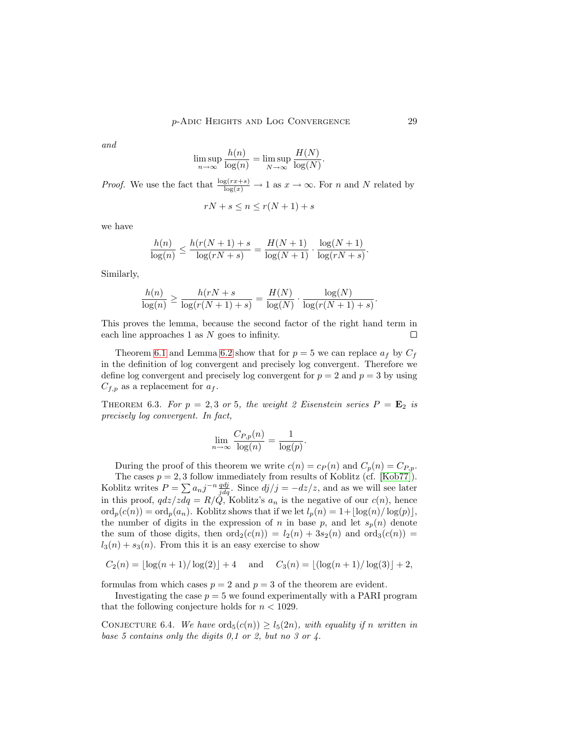and

$$
\limsup_{n \to \infty} \frac{h(n)}{\log(n)} = \limsup_{N \to \infty} \frac{H(N)}{\log(N)}.
$$

*Proof.* We use the fact that  $\frac{\log(r x + s)}{\log(x)} \to 1$  as  $x \to \infty$ . For n and N related by

$$
rN + s \le n \le r(N + 1) + s
$$

we have

$$
\frac{h(n)}{\log(n)} \le \frac{h(r(N+1) + s)}{\log(rN + s)} = \frac{H(N+1)}{\log(N+1)} \cdot \frac{\log(N+1)}{\log(rN + s)}.
$$

Similarly,

$$
\frac{h(n)}{\log(n)} \ge \frac{h(rN+s)}{\log(r(N+1)+s)} = \frac{H(N)}{\log(N)} \cdot \frac{\log(N)}{\log(r(N+1)+s)}.
$$

This proves the lemma, because the second factor of the right hand term in each line approaches 1 as N goes to infinity.  $\Box$ 

Theorem [6.1](#page-27-1) and Lemma [6.2](#page-27-2) show that for  $p = 5$  we can replace  $a_f$  by  $C_f$ in the definition of log convergent and precisely log convergent. Therefore we define log convergent and precisely log convergent for  $p = 2$  and  $p = 3$  by using  $C_{f,p}$  as a replacement for  $a_f$ .

<span id="page-28-1"></span>THEOREM 6.3. For  $p = 2, 3$  or 5, the weight 2 Eisenstein series  $P = \mathbf{E}_2$  is precisely log convergent. In fact,

$$
\lim_{n \to \infty} \frac{C_{P,p}(n)}{\log(n)} = \frac{1}{\log(p)}.
$$

During the proof of this theorem we write  $c(n) = c_p(n)$  and  $C_p(n) = C_{P,p}$ . The cases  $p = 2, 3$  follow immediately from results of Koblitz (cf. [\[Kob77\]](#page-34-11)).

Koblitz writes  $P = \sum a_{n}j^{-n}\frac{qdj}{jd}$ . Since  $dj/j = -dz/z$ , and as we will see later in this proof,  $qdz/zdq = R/Q$ , Koblitz's  $a_n$  is the negative of our  $c(n)$ , hence  $\operatorname{ord}_p(c(n)) = \operatorname{ord}_p(a_n)$ . Koblitz shows that if we let  $l_p(n) = 1 + |\log(n)/\log(p)|$ , the number of digits in the expression of n in base p, and let  $s_p(n)$  denote the sum of those digits, then  $\text{ord}_2(c(n)) = l_2(n) + 3s_2(n)$  and  $\text{ord}_3(c(n)) =$  $l_3(n) + s_3(n)$ . From this it is an easy exercise to show

$$
C_2(n) = \lfloor \log(n+1)/\log(2) \rfloor + 4
$$
 and  $C_3(n) = \lfloor (\log(n+1)/\log(3) \rfloor + 2,$ 

formulas from which cases  $p = 2$  and  $p = 3$  of the theorem are evident.

<span id="page-28-0"></span>Investigating the case  $p = 5$  we found experimentally with a PARI program that the following conjecture holds for  $n < 1029$ .

CONJECTURE 6.4. We have  $\text{ord}_5(c(n)) \geq l_5(2n)$ , with equality if n written in base 5 contains only the digits 0,1 or 2, but no 3 or 4.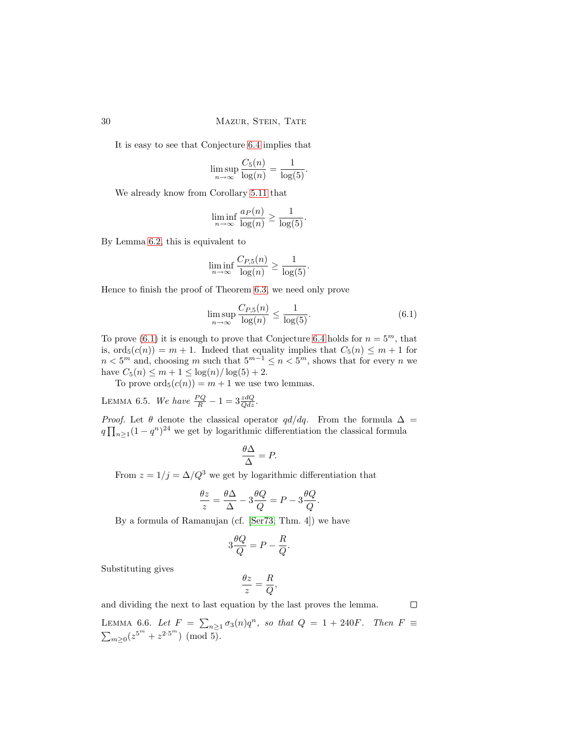It is easy to see that Conjecture [6.4](#page-28-0) implies that

$$
\limsup_{n \to \infty} \frac{C_5(n)}{\log(n)} = \frac{1}{\log(5)}.
$$

We already know from Corollary [5.11](#page-25-0) that

$$
\liminf_{n \to \infty} \frac{a_P(n)}{\log(n)} \ge \frac{1}{\log(5)}.
$$

By Lemma [6.2,](#page-27-2) this is equivalent to

$$
\liminf_{n \to \infty} \frac{C_{P,5}(n)}{\log(n)} \ge \frac{1}{\log(5)}.
$$

Hence to finish the proof of Theorem [6.3,](#page-28-1) we need only prove

<span id="page-29-0"></span>
$$
\limsup_{n \to \infty} \frac{C_{P,5}(n)}{\log(n)} \le \frac{1}{\log(5)}.\tag{6.1}
$$

To prove [\(6.1\)](#page-29-0) it is enough to prove that Conjecture [6.4](#page-28-0) holds for  $n = 5^m$ , that is,  $\text{ord}_5(c(n)) = m + 1$ . Indeed that equality implies that  $C_5(n) \leq m + 1$  for  $n < 5^m$  and, choosing m such that  $5^{m-1} \le n < 5^m$ , shows that for every n we have  $C_5(n) \le m + 1 \le \log(n) / \log(5) + 2$ .

To prove  $\text{ord}_5(c(n)) = m + 1$  we use two lemmas.

<span id="page-29-2"></span>LEMMA 6.5. We have  $\frac{PQ}{R} - 1 = 3 \frac{zdQ}{Qdz}$ .

*Proof.* Let  $\theta$  denote the classical operator  $qd/dq$ . From the formula  $\Delta$  =  $q \prod_{n \geq 1} (1 - q^n)^{24}$  we get by logarithmic differentiation the classical formula

$$
\frac{\theta \Delta}{\Delta} = P.
$$

From  $z = 1/j = \Delta/Q^3$  we get by logarithmic differentiation that

$$
\frac{\theta z}{z} = \frac{\theta \Delta}{\Delta} - 3 \frac{\theta Q}{Q} = P - 3 \frac{\theta Q}{Q}.
$$

By a formula of Ramanujan (cf. [\[Ser73,](#page-35-4) Thm. 4]) we have

$$
3\frac{\theta Q}{Q} = P - \frac{R}{Q}.
$$

Substituting gives

$$
\frac{\theta z}{z}=\frac{R}{Q},
$$

 $\Box$ 

<span id="page-29-1"></span>and dividing the next to last equation by the last proves the lemma.

LEMMA 6.6. Let  $F = \sum_{n\geq 1} \sigma_3(n)q^n$ , so that  $Q = 1 + 240F$ . Then  $F \equiv$  $\sum_{m\geq 0} (z^{5^m}+z^{2\cdot 5^m}) \pmod{5}.$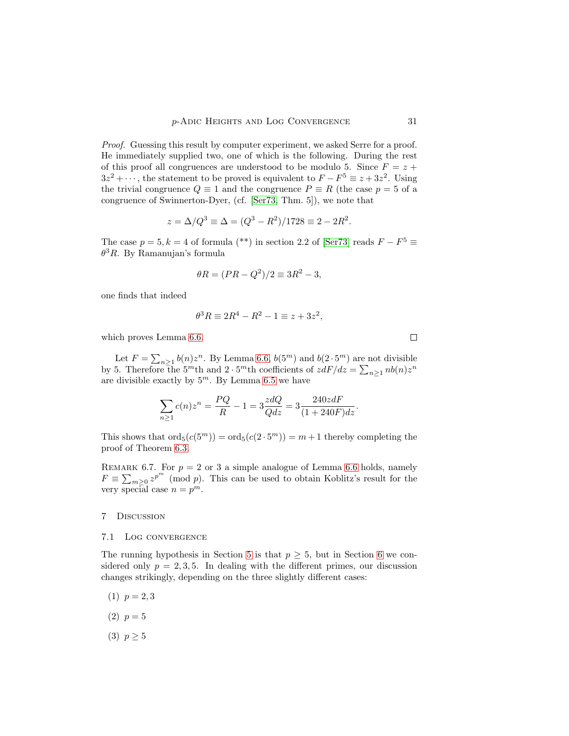Proof. Guessing this result by computer experiment, we asked Serre for a proof. He immediately supplied two, one of which is the following. During the rest of this proof all congruences are understood to be modulo 5. Since  $F = z +$  $3z^2 + \cdots$ , the statement to be proved is equivalent to  $F - F^5 \equiv z + 3z^2$ . Using the trivial congruence  $Q \equiv 1$  and the congruence  $P \equiv R$  (the case  $p = 5$  of a congruence of Swinnerton-Dyer, (cf. [\[Ser73,](#page-35-4) Thm. 5]), we note that

$$
z = \Delta/Q^3 \equiv \Delta = (Q^3 - R^2)/1728 \equiv 2 - 2R^2.
$$

The case  $p = 5, k = 4$  of formula (\*\*) in section 2.2 of [\[Ser73\]](#page-35-4) reads  $F - F^5 \equiv$  $\theta^3 R$ . By Ramanujan's formula

$$
\theta R = (PR - Q^2)/2 \equiv 3R^2 - 3,
$$

one finds that indeed

$$
\theta^3 R \equiv 2R^4 - R^2 - 1 \equiv z + 3z^2,
$$

which proves Lemma [6.6.](#page-29-1)

Let  $F = \sum_{n \geq 1} b(n)z^n$ . By Lemma [6.6,](#page-29-1)  $b(5^m)$  and  $b(2 \cdot 5^m)$  are not divisible by 5. Therefore the 5<sup>m</sup>th and 2 · 5<sup>m</sup>th coefficients of  $zdF/dz = \sum_{n\geq 1} nb(n)z^n$ are divisible exactly by  $5^m$ . By Lemma [6.5](#page-29-2) we have

$$
\sum_{n\geq 1} c(n)z^n = \frac{PQ}{R} - 1 = 3\frac{zdQ}{Qdz} = 3\frac{240zdF}{(1 + 240F)dz}.
$$

This shows that  $\text{ord}_5(c(5^m)) = \text{ord}_5(c(2 \cdot 5^m)) = m + 1$  thereby completing the proof of Theorem [6.3.](#page-28-1)

REMARK 6.7. For  $p = 2$  or 3 a simple analogue of Lemma [6.6](#page-29-1) holds, namely  $F \equiv \sum_{m\geq 0} z^{p^m}$  (mod p). This can be used to obtain Koblitz's result for the very special case  $n = p^m$ .

# <span id="page-30-0"></span>7 Discussion

#### 7.1 Log convergence

The running hypothesis in Section [5](#page-19-0) is that  $p \geq 5$ , but in Section [6](#page-26-0) we considered only  $p = 2, 3, 5$ . In dealing with the different primes, our discussion changes strikingly, depending on the three slightly different cases:

- $(1)$   $p = 2, 3$
- $(2)$   $p = 5$
- (3)  $p \geq 5$

 $\Box$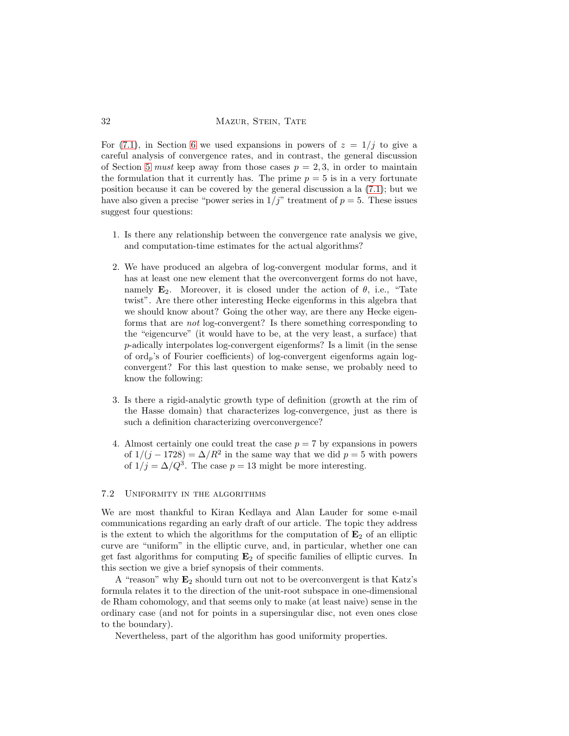For [\(7.1\)](#page-30-0), in Section [6](#page-26-0) we used expansions in powers of  $z = 1/j$  to give a careful analysis of convergence rates, and in contrast, the general discussion of Section [5](#page-19-0) must keep away from those cases  $p = 2, 3$ , in order to maintain the formulation that it currently has. The prime  $p = 5$  is in a very fortunate position because it can be covered by the general discussion a la [\(7.1\)](#page-30-0); but we have also given a precise "power series in  $1/j$ " treatment of  $p = 5$ . These issues suggest four questions:

- 1. Is there any relationship between the convergence rate analysis we give, and computation-time estimates for the actual algorithms?
- 2. We have produced an algebra of log-convergent modular forms, and it has at least one new element that the overconvergent forms do not have, namely  $\mathbf{E}_2$ . Moreover, it is closed under the action of  $\theta$ , i.e., "Tate twist". Are there other interesting Hecke eigenforms in this algebra that we should know about? Going the other way, are there any Hecke eigenforms that are not log-convergent? Is there something corresponding to the "eigencurve" (it would have to be, at the very least, a surface) that p-adically interpolates log-convergent eigenforms? Is a limit (in the sense of  $\text{ord}_p$ 's of Fourier coefficients) of log-convergent eigenforms again logconvergent? For this last question to make sense, we probably need to know the following:
- 3. Is there a rigid-analytic growth type of definition (growth at the rim of the Hasse domain) that characterizes log-convergence, just as there is such a definition characterizing overconvergence?
- 4. Almost certainly one could treat the case  $p = 7$  by expansions in powers of  $1/(j - 1728) = \Delta/R^2$  in the same way that we did  $p = 5$  with powers of  $1/j = \Delta/Q^3$ . The case  $p = 13$  might be more interesting.

#### 7.2 Uniformity in the algorithms

We are most thankful to Kiran Kedlaya and Alan Lauder for some e-mail communications regarding an early draft of our article. The topic they address is the extent to which the algorithms for the computation of  $\mathbf{E}_2$  of an elliptic curve are "uniform" in the elliptic curve, and, in particular, whether one can get fast algorithms for computing  $E_2$  of specific families of elliptic curves. In this section we give a brief synopsis of their comments.

A "reason" why  $E_2$  should turn out not to be overconvergent is that Katz's formula relates it to the direction of the unit-root subspace in one-dimensional de Rham cohomology, and that seems only to make (at least naive) sense in the ordinary case (and not for points in a supersingular disc, not even ones close to the boundary).

Nevertheless, part of the algorithm has good uniformity properties.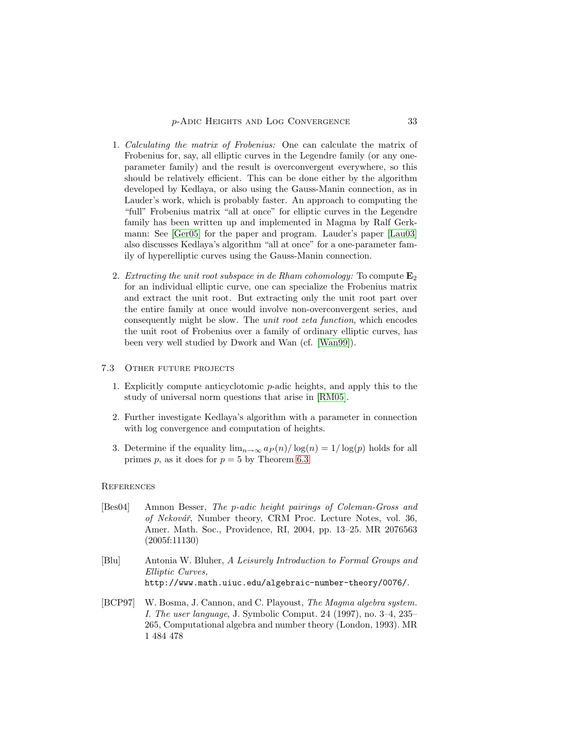- 1. Calculating the matrix of Frobenius: One can calculate the matrix of Frobenius for, say, all elliptic curves in the Legendre family (or any oneparameter family) and the result is overconvergent everywhere, so this should be relatively efficient. This can be done either by the algorithm developed by Kedlaya, or also using the Gauss-Manin connection, as in Lauder's work, which is probably faster. An approach to computing the "full" Frobenius matrix "all at once" for elliptic curves in the Legendre family has been written up and implemented in Magma by Ralf Gerkmann: See [\[Ger05\]](#page-33-11) for the paper and program. Lauder's paper [\[Lau03\]](#page-34-12) also discusses Kedlaya's algorithm "all at once" for a one-parameter family of hyperelliptic curves using the Gauss-Manin connection.
- 2. Extracting the unit root subspace in de Rham cohomology: To compute  $E_2$ for an individual elliptic curve, one can specialize the Frobenius matrix and extract the unit root. But extracting only the unit root part over the entire family at once would involve non-overconvergent series, and consequently might be slow. The unit root zeta function, which encodes the unit root of Frobenius over a family of ordinary elliptic curves, has been very well studied by Dwork and Wan (cf. [\[Wan99\]](#page-35-5)).

## 7.3 Other future projects

- 1. Explicitly compute anticyclotomic p-adic heights, and apply this to the study of universal norm questions that arise in [\[RM05\]](#page-34-9).
- 2. Further investigate Kedlaya's algorithm with a parameter in connection with log convergence and computation of heights.
- 3. Determine if the equality  $\lim_{n\to\infty} a_P(n)/\log(n) = 1/\log(p)$  holds for all primes p, as it does for  $p = 5$  by Theorem [6.3](#page-28-1)

### **REFERENCES**

- <span id="page-32-0"></span>[Bes04] Amnon Besser, The p-adic height pairings of Coleman-Gross and of Nekovář, Number theory, CRM Proc. Lecture Notes, vol. 36, Amer. Math. Soc., Providence, RI, 2004, pp. 13–25. MR 2076563 (2005f:11130)
- <span id="page-32-1"></span>[Blu] Antonia W. Bluher, A Leisurely Introduction to Formal Groups and Elliptic Curves, http://www.math.uiuc.edu/algebraic-number-theory/0076/.
- <span id="page-32-2"></span>[BCP97] W. Bosma, J. Cannon, and C. Playoust, The Magma algebra system. I. The user language, J. Symbolic Comput. 24 (1997), no. 3–4, 235– 265, Computational algebra and number theory (London, 1993). MR 1 484 478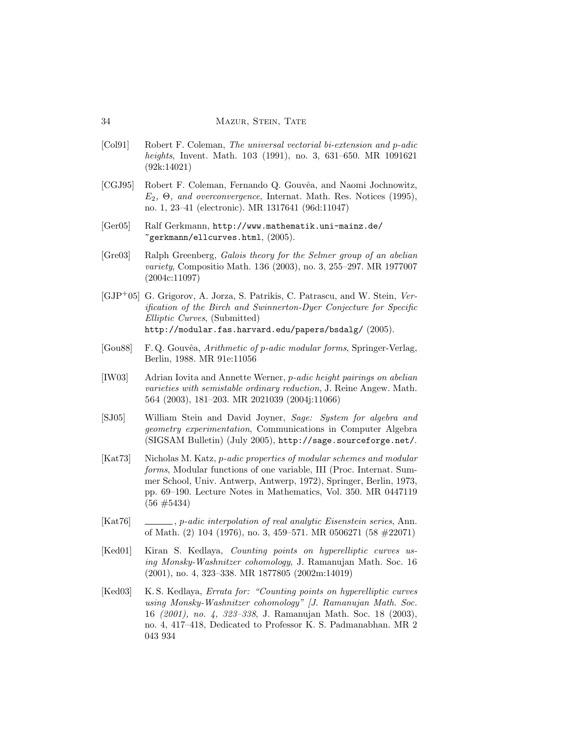- <span id="page-33-0"></span>[Col91] Robert F. Coleman, The universal vectorial bi-extension and p-adic heights, Invent. Math. 103 (1991), no. 3, 631–650. MR 1091621 (92k:14021)
- <span id="page-33-9"></span>[CGJ95] Robert F. Coleman, Fernando Q. Gouvêa, and Naomi Jochnowitz,  $E_2$ ,  $\Theta$ , and overconvergence, Internat. Math. Res. Notices (1995), no. 1, 23–41 (electronic). MR 1317641 (96d:11047)
- <span id="page-33-11"></span>[Ger05] Ralf Gerkmann, http://www.mathematik.uni-mainz.de/  $\tilde{\zeta}$ gerkmann/ellcurves.html,  $(2005)$ .
- <span id="page-33-2"></span>[Gre03] Ralph Greenberg, Galois theory for the Selmer group of an abelian variety, Compositio Math. 136 (2003), no. 3, 255–297. MR 1977007 (2004c:11097)
- <span id="page-33-3"></span>[GJP<sup>+</sup>05] G. Grigorov, A. Jorza, S. Patrikis, C. Patrascu, and W. Stein, Verification of the Birch and Swinnerton-Dyer Conjecture for Specific Elliptic Curves, (Submitted) http://modular.fas.harvard.edu/papers/bsdalg/ (2005).
- <span id="page-33-10"></span>[Gou88] F. Q. Gouvêa, Arithmetic of p-adic modular forms, Springer-Verlag, Berlin, 1988. MR 91e:11056
- <span id="page-33-1"></span>[IW03] Adrian Iovita and Annette Werner, p-adic height pairings on abelian varieties with semistable ordinary reduction, J. Reine Angew. Math. 564 (2003), 181–203. MR 2021039 (2004j:11066)
- <span id="page-33-8"></span>[SJ05] William Stein and David Joyner, Sage: System for algebra and geometry experimentation, Communications in Computer Algebra (SIGSAM Bulletin) (July 2005), http://sage.sourceforge.net/.
- <span id="page-33-4"></span>[Kat73] Nicholas M. Katz, *p-adic properties of modular schemes and modular* forms, Modular functions of one variable, III (Proc. Internat. Summer School, Univ. Antwerp, Antwerp, 1972), Springer, Berlin, 1973, pp. 69–190. Lecture Notes in Mathematics, Vol. 350. MR 0447119  $(56 \neq 5434)$
- <span id="page-33-5"></span>[Kat76] , p-adic interpolation of real analytic Eisenstein series, Ann. of Math. (2) 104 (1976), no. 3, 459–571. MR 0506271 (58 #22071)
- <span id="page-33-6"></span>[Ked01] Kiran S. Kedlaya, *Counting points on hyperelliptic curves us*ing Monsky-Washnitzer cohomology, J. Ramanujan Math. Soc. 16 (2001), no. 4, 323–338. MR 1877805 (2002m:14019)
- <span id="page-33-7"></span>[Ked03] K.S. Kedlaya, *Errata for: "Counting points on hyperelliptic curves* using Monsky-Washnitzer cohomology" [J. Ramanujan Math. Soc. 16 (2001), no. 4, 323–338, J. Ramanujan Math. Soc. 18 (2003), no. 4, 417–418, Dedicated to Professor K. S. Padmanabhan. MR 2 043 934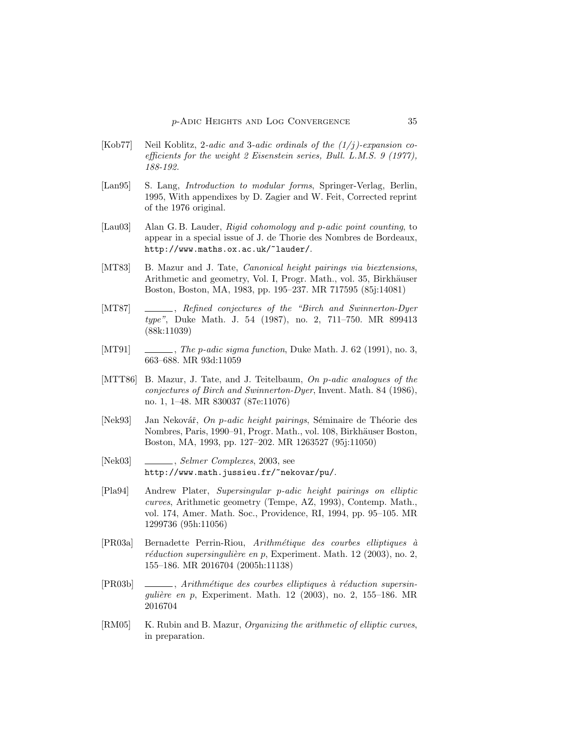- <span id="page-34-11"></span>[Kob77] Neil Koblitz, 2-adic and 3-adic ordinals of the  $(1/i)$ -expansion coefficients for the weight 2 Eisenstein series, Bull. L.M.S. 9 (1977), 188-192.
- <span id="page-34-10"></span>[Lan95] S. Lang, Introduction to modular forms, Springer-Verlag, Berlin, 1995, With appendixes by D. Zagier and W. Feit, Corrected reprint of the 1976 original.
- <span id="page-34-12"></span>[Lau03] Alan G. B. Lauder, Rigid cohomology and p-adic point counting, to appear in a special issue of J. de Thorie des Nombres de Bordeaux, http://www.maths.ox.ac.uk/~lauder/.
- <span id="page-34-0"></span>[MT83] B. Mazur and J. Tate, Canonical height pairings via biextensions, Arithmetic and geometry, Vol. I, Progr. Math., vol. 35, Birkhäuser Boston, Boston, MA, 1983, pp. 195–237. MR 717595 (85j:14081)
- <span id="page-34-3"></span>[MT87] , Refined conjectures of the "Birch and Swinnerton-Dyer" type", Duke Math. J. 54 (1987), no. 2, 711–750. MR 899413 (88k:11039)
- <span id="page-34-6"></span>[MT91]  $\qquad \qquad$ , The p-adic sigma function, Duke Math. J. 62 (1991), no. 3, 663–688. MR 93d:11059
- <span id="page-34-7"></span>[MTT86] B. Mazur, J. Tate, and J. Teitelbaum, On p-adic analogues of the conjectures of Birch and Swinnerton-Dyer, Invent. Math. 84 (1986), no. 1, 1–48. MR 830037 (87e:11076)
- <span id="page-34-1"></span>[Nek93] Jan Nekovář, On p-adic height pairings, Séminaire de Théorie des Nombres, Paris, 1990–91, Progr. Math., vol. 108, Birkhäuser Boston, Boston, MA, 1993, pp. 127–202. MR 1263527 (95j:11050)
- <span id="page-34-5"></span>[Nek03] , Selmer Complexes, 2003, see http://www.math.jussieu.fr/~nekovar/pu/.
- <span id="page-34-2"></span>[Pla94] Andrew Plater, Supersingular p-adic height pairings on elliptic curves, Arithmetic geometry (Tempe, AZ, 1993), Contemp. Math., vol. 174, Amer. Math. Soc., Providence, RI, 1994, pp. 95–105. MR 1299736 (95h:11056)
- <span id="page-34-4"></span> $[PR03a]$  Bernadette Perrin-Riou, Arithmétique des courbes elliptiques à  $réduction supersinqulière en p, Experiment. Math. 12 (2003), no. 2,$ 155–186. MR 2016704 (2005h:11138)
- <span id="page-34-8"></span> $[PR03b] \quad \underline{\hspace{2cm}}$ , Arithmétique des courbes elliptiques à réduction supersinqulière en p, Experiment. Math. 12 (2003), no. 2, 155–186. MR 2016704
- <span id="page-34-9"></span>[RM05] K. Rubin and B. Mazur, *Organizing the arithmetic of elliptic curves*, in preparation.